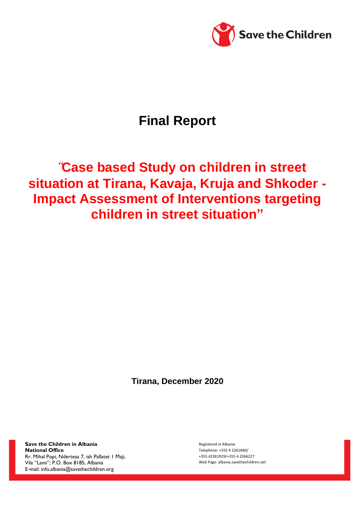

# **Final Report**

# "**Case based Study on children in street situation at Tirana, Kavaja, Kruja and Shkoder - Impact Assessment of Interventions targeting children in street situation"**

**Tirana, December 2020**

**Save the Children in Albania National Office**  Rr. Mihal Popi, Ndertesa 7, ish Pallatet 1 Maji, Vila "Lami"; P.O. Box 8185, Albania E-mail: [info.albania@savethechildren.org](mailto:info.albania@savethechildren.org)

Registered in Albania Telephone: +355 4 2261840/ +355 42261929/+355 4 2266227 Web Page: albania.savethechildren.net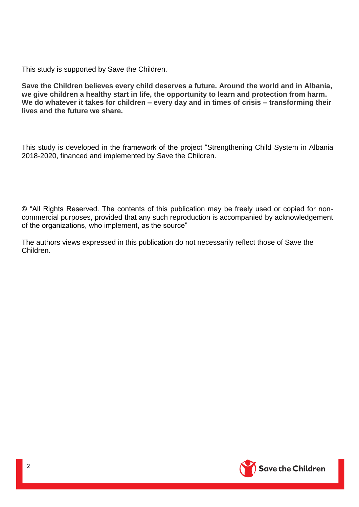This study is supported by Save the Children.

**Save the Children believes every child deserves a future. Around the world and in Albania, we give children a healthy start in life, the opportunity to learn and protection from harm. We do whatever it takes for children – every day and in times of crisis – transforming their lives and the future we share.**

This study is developed in the framework of the project "Strengthening Child System in Albania 2018-2020, financed and implemented by Save the Children.

**©** "All Rights Reserved. The contents of this publication may be freely used or copied for noncommercial purposes, provided that any such reproduction is accompanied by acknowledgement of the organizations, who implement, as the source"

The authors views expressed in this publication do not necessarily reflect those of Save the Children.

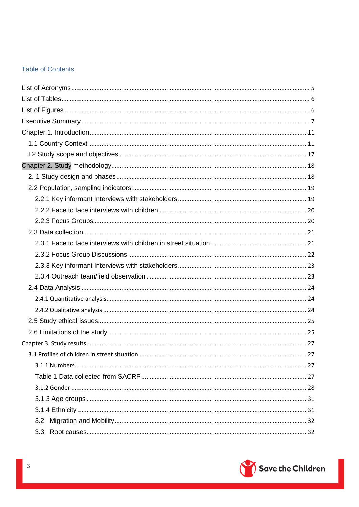# **Table of Contents**

| 3.1 Profiles of children in street situation | 27 |
|----------------------------------------------|----|
|                                              |    |
|                                              |    |
|                                              |    |
|                                              |    |
|                                              |    |
| 3.2                                          |    |
| 3.3                                          |    |

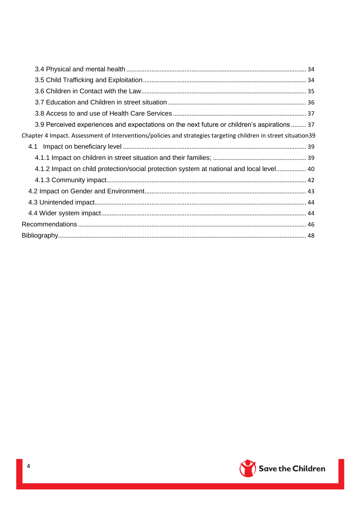| 3.9 Perceived experiences and expectations on the next future or children's aspirations  37                    |
|----------------------------------------------------------------------------------------------------------------|
| Chapter 4 Impact. Assessment of Interventions/policies and strategies targeting children in street situation39 |
| 4.1                                                                                                            |
|                                                                                                                |
| 4.1.2 Impact on child protection/social protection system at national and local level 40                       |
|                                                                                                                |
|                                                                                                                |
|                                                                                                                |
|                                                                                                                |
|                                                                                                                |
|                                                                                                                |

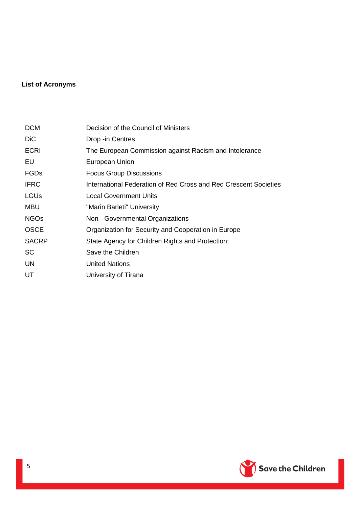# <span id="page-4-0"></span>**List of Acronyms**

| <b>DCM</b>   | Decision of the Council of Ministers                             |
|--------------|------------------------------------------------------------------|
| <b>DiC</b>   | Drop -in Centres                                                 |
| <b>ECRI</b>  | The European Commission against Racism and Intolerance           |
| EU           | European Union                                                   |
| <b>FGDs</b>  | <b>Focus Group Discussions</b>                                   |
| <b>IFRC</b>  | International Federation of Red Cross and Red Crescent Societies |
| LGUs         | <b>Local Government Units</b>                                    |
| <b>MBU</b>   | "Marin Barleti" University                                       |
| <b>NGOs</b>  | Non - Governmental Organizations                                 |
| <b>OSCE</b>  | Organization for Security and Cooperation in Europe              |
| <b>SACRP</b> | State Agency for Children Rights and Protection;                 |
| <b>SC</b>    | Save the Children                                                |
| UN           | <b>United Nations</b>                                            |
| UT           | University of Tirana                                             |

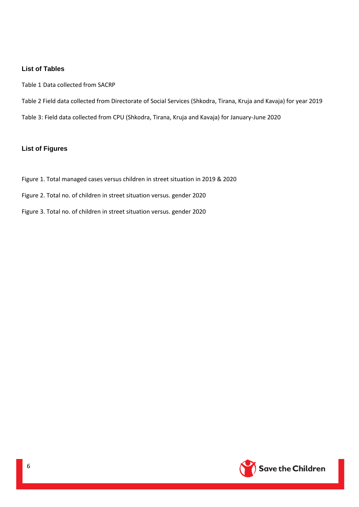#### <span id="page-5-0"></span>**List of Tables**

- Table 1 Data collected from SACRP
- Table 2 Field data collected from Directorate of Social Services (Shkodra, Tirana, Kruja and Kavaja) for year 2019
- Table 3: Field data collected from CPU (Shkodra, Tirana, Kruja and Kavaja) for January-June 2020

#### <span id="page-5-1"></span>**List of Figures**

- Figure 1. Total managed cases versus children in street situation in 2019 & 2020
- Figure 2. Total no. of children in street situation versus. gender 2020
- Figure 3. Total no. of children in street situation versus. gender 2020

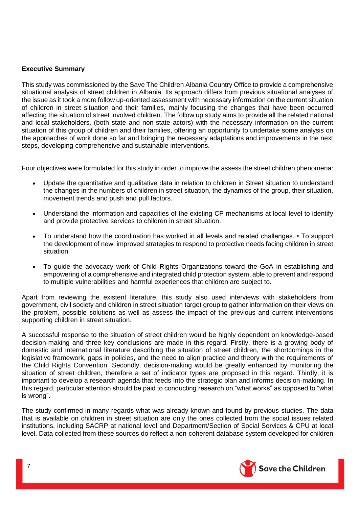#### <span id="page-6-0"></span>**Executive Summary**

This study was commissioned by the Save The Children Albania Country Office to provide a comprehensive situational analysis of street children in Albania. Its approach differs from previous situational analyses of the issue as it took a more follow up-oriented assessment with necessary information on the current situation of children in street situation and their families, mainly focusing the changes that have been occurred affecting the situation of street involved children. The follow up study aims to provide all the related national and local stakeholders, (both state and non-state actors) with the necessary information on the current situation of this group of children and their families, offering an opportunity to undertake some analysis on the approaches of work done so far and bringing the necessary adaptations and improvements in the next steps, developing comprehensive and sustainable interventions.

Four objectives were formulated for this study in order to improve the assess the street children phenomena:

- Update the quantitative and qualitative data in relation to children in Street situation to understand the changes in the numbers of children in street situation, the dynamics of the group, their situation, movement trends and push and pull factors.
- Understand the information and capacities of the existing CP mechanisms at local level to identify and provide protective services to children in street situation.
- To understand how the coordination has worked in all levels and related challenges. To support the development of new, improved strategies to respond to protective needs facing children in street situation.
- To guide the advocacy work of Child Rights Organizations toward the GoA in establishing and empowering of a comprehensive and integrated child protection system, able to prevent and respond to multiple vulnerabilities and harmful experiences that children are subject to.

Apart from reviewing the existent literature, this study also used interviews with stakeholders from government, civil society and children in street situation target group to gather information on their views on the problem, possible solutions as well as assess the impact of the previous and current interventions supporting children in street situation.

A successful response to the situation of street children would be highly dependent on knowledge-based decision-making and three key conclusions are made in this regard. Firstly, there is a growing body of domestic and international literature describing the situation of street children, the shortcomings in the legislative framework, gaps in policies, and the need to align practice and theory with the requirements of the Child Rights Convention. Secondly, decision-making would be greatly enhanced by monitoring the situation of street children, therefore a set of indicator types are proposed in this regard. Thirdly, it is important to develop a research agenda that feeds into the strategic plan and informs decision-making. In this regard, particular attention should be paid to conducting research on "what works" as opposed to "what is wrong".

The study confirmed in many regards what was already known and found by previous studies. The data that is available on children in street situation are only the ones collected from the social issues related institutions, including SACRP at national level and Department/Section of Social Services & CPU at local level. Data collected from these sources do reflect a non-coherent database system developed for children

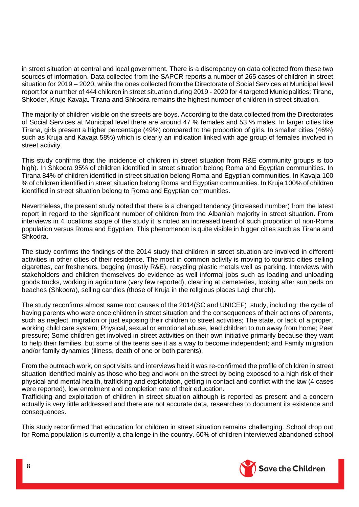in street situation at central and local government. There is a discrepancy on data collected from these two sources of information. Data collected from the SAPCR reports a number of 265 cases of children in street situation for 2019 – 2020, while the ones collected from the Directorate of Social Services at Municipal level report for a number of 444 children in street situation during 2019 - 2020 for 4 targeted Municipalities: Tirane, Shkoder, Kruje Kavaja. Tirana and Shkodra remains the highest number of children in street situation.

The majority of children visible on the streets are boys. According to the data collected from the Directorates of Social Services at Municipal level there are around 47 % females and 53 % males. In larger cities like Tirana, girls present a higher percentage (49%) compared to the proportion of girls. In smaller cities (46%) such as Kruja and Kavaja 58%) which is clearly an indication linked with age group of females involved in street activity.

This study confirms that the incidence of children in street situation from R&E community groups is too high). In Shkodra 95% of children identified in street situation belong Roma and Egyptian communities. In Tirana 84% of children identified in street situation belong Roma and Egyptian communities. In Kavaja 100 % of children identified in street situation belong Roma and Egyptian communities. In Kruja 100% of children identified in street situation belong to Roma and Egyptian communities.

Nevertheless, the present study noted that there is a changed tendency (increased number) from the latest report in regard to the significant number of children from the Albanian majority in street situation. From interviews in 4 locations scope of the study it is noted an increased trend of such proportion of non-Roma population versus Roma and Egyptian. This phenomenon is quite visible in bigger cities such as Tirana and Shkodra.

The study confirms the findings of the 2014 study that children in street situation are involved in different activities in other cities of their residence. The most in common activity is moving to touristic cities selling cigarettes, car fresheners, begging (mostly R&E), recycling plastic metals well as parking. Interviews with stakeholders and children themselves do evidence as well informal jobs such as loading and unloading goods trucks, working in agriculture (very few reported), cleaning at cemeteries, looking after sun beds on beaches (Shkodra), selling candles (those of Kruja in the religious places Laçi church).

The study reconfirms almost same root causes of the 2014(SC and UNICEF) study, including: the cycle of having parents who were once children in street situation and the consequences of their actions of parents, such as neglect, migration or just exposing their children to street activities; The state, or lack of a proper, working child care system; Physical, sexual or emotional abuse, lead children to run away from home; Peer pressure; Some children get involved in street activities on their own initiative primarily because they want to help their families, but some of the teens see it as a way to become independent; and Family migration and/or family dynamics (illness, death of one or both parents).

From the outreach work, on spot visits and interviews held it was re-confirmed the profile of children in street situation identified mainly as those who beg and work on the street by being exposed to a high risk of their physical and mental health, trafficking and exploitation, getting in contact and conflict with the law (4 cases were reported), low enrolment and completion rate of their education.

Trafficking and exploitation of children in street situation although is reported as present and a concern actually is very little addressed and there are not accurate data, researches to document its existence and consequences.

This study reconfirmed that education for children in street situation remains challenging. School drop out for Roma population is currently a challenge in the country. 60% of children interviewed abandoned school

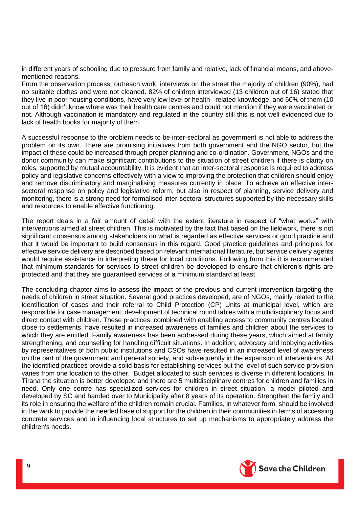in different years of schooling due to pressure from family and relative, lack of financial means, and abovementioned reasons.

From the observation process, outreach work, interviews on the street the majority of children (90%), had no suitable clothes and were not cleaned. 82% of children interviewed (13 children out of 16) stated that they live in poor housing conditions, have very low level or health –related knowledge, and 60% of them (10 out of 16) didn't know where was their health care centres and could not mention if they were vaccinated or not. Although vaccination is mandatory and regulated in the country still this is not well evidenced due to lack of health books for majority of them.

A successful response to the problem needs to be inter-sectoral as government is not able to address the problem on its own. There are promising initiatives from both government and the NGO sector, but the impact of these could be increased through proper planning and co-ordination. Government, NGOs and the donor community can make significant contributions to the situation of street children if there is clarity on roles, supported by mutual accountability. It is evident that an inter-sectoral response is required to address policy and legislative concerns effectively with a view to improving the protection that children should enjoy and remove discriminatory and marginalising measures currently in place. To achieve an effective intersectoral response on policy and legislative reform, but also in respect of planning, service delivery and monitoring, there is a strong need for formalised inter-sectoral structures supported by the necessary skills and resources to enable effective functioning.

The report deals in a fair amount of detail with the extant literature in respect of "what works" with interventions aimed at street children. This is motivated by the fact that based on the fieldwork, there is not significant consensus among stakeholders on what is regarded as effective services or good practice and that it would be important to build consensus in this regard. Good practice guidelines and principles for effective service delivery are described based on relevant international literature, but service delivery agents would require assistance in interpreting these for local conditions. Following from this it is recommended that minimum standards for services to street children be developed to ensure that children's rights are protected and that they are guaranteed services of a minimum standard at least.

The concluding chapter aims to assess the impact of the previous and current intervention targeting the needs of children in street situation. Several good practices developed, are of NGOs, mainly related to the identification of cases and their referral to Child Protection (CP) Units at municipal level, which are responsible for case management; development of technical round tables with a multidisciplinary focus and direct contact with children. These practices, combined with enabling access to community centres located close to settlements, have resulted in increased awareness of families and children about the services to which they are entitled. Family awareness has been addressed during these years, which aimed at family strengthening, and counselling for handling difficult situations. In addition, advocacy and lobbying activities by representatives of both public institutions and CSOs have resulted in an increased level of awareness on the part of the government and general society, and subsequently in the expansion of interventions. All the identified practices provide a solid basis for establishing services but the level of such service provision varies from one location to the other. Budget allocated to such services is diverse in different locations. In Tirana the situation is better developed and there are 5 multidisciplinary centres for children and families in need. Only one centre has specialized services for children in street situation, a model piloted and developed by SC and handed over to Municipality after 8 years of its operation. Strengthen the family and its role in ensuring the welfare of the children remain crucial. Families, in whatever form, should be involved in the work to provide the needed base of support for the children in their communities in terms of accessing concrete services and in influencing local structures to set up mechanisms to appropriately address the children's needs.

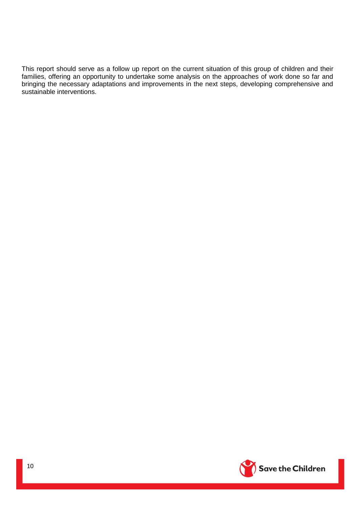This report should serve as a follow up report on the current situation of this group of children and their families, offering an opportunity to undertake some analysis on the approaches of work done so far and bringing the necessary adaptations and improvements in the next steps, developing comprehensive and sustainable interventions.

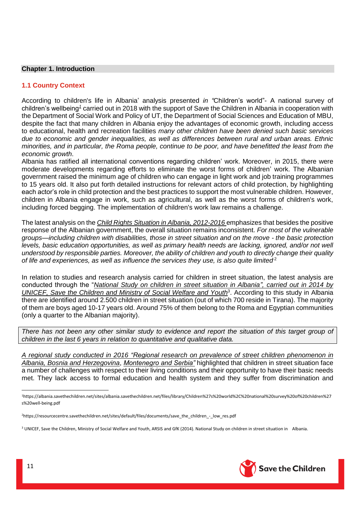#### <span id="page-10-0"></span>**Chapter 1. Introduction**

# <span id="page-10-1"></span>**1.1 Country Context**

According to children's life in Albania' analysis presented *in "*Children's world"- A national survey of children's wellbeing<sup>1</sup> carried out in 2018 with the support of Save the Children in Albania in cooperation with the Department of Social Work and Policy of UT, the Department of Social Sciences and Education of MBU, despite the fact that many children in Albania enjoy the advantages of economic growth, including access to educational, health and recreation facilities *many other children have been denied such basic services due to economic and gender inequalities, as well as differences between rural and urban areas. Ethnic minorities, and in particular, the Roma people, continue to be poor, and have benefitted the least from the economic growth*.

Albania has ratified all international conventions regarding children' work. Moreover, in 2015, there were moderate developments regarding efforts to eliminate the worst forms of children' work. The Albanian government raised the minimum age of children who can engage in light work and job training programmes to 15 years old. It also put forth detailed instructions for relevant actors of child protection, by highlighting each actor's role in child protection and the best practices to support the most vulnerable children. However, children in Albania engage in work, such as agricultural, as well as the worst forms of children's work, including forced begging. The implementation of children's work law remains a challenge.

The latest analysis on the *Child Rights Situation in Albania, 2012-2016* emphasizes that besides the positive response of the Albanian government, the overall situation remains inconsistent. *For most of the vulnerable groups—including children with disabilities, those in street situation and on the move - the basic protection levels, basic education opportunities, as well as primary health needs are lacking, ignored, and/or not well understood by responsible parties. Moreover, the ability of children and youth to directly change their quality of life and experiences, as well as influence the services they use, is also quite limited.*<sup>2</sup>

In relation to studies and research analysis carried for children in street situation, the latest analysis are conducted through the "*National Study on children in street situation in Albania", carried out in 2014 by*  UNICEF, Save the Children and Ministry of Social Welfare and Youth<sup>3</sup>. According to this study in Albania there are identified around 2.500 children in street situation (out of which 700 reside in Tirana). The majority of them are boys aged 10-17 years old. Around 75% of them belong to the Roma and Egyptian communities (only a quarter to the Albanian majority).

There has not been any other similar study to evidence and report the situation of this target group of *children in the last 6 years in relation to quantitative and qualitative data.*

*A regional study conducted in 2016 "Regional research on prevalence of street children phenomenon in Albania, Bosnia and Herzegovina*, *Montenegro and Serbia"* highlighted that children in street situation face a number of challenges with respect to their living conditions and their opportunity to have their basic needs met. They lack access to formal education and health system and they suffer from discrimination and



 $\overline{\phantom{a}}$ 

<sup>1</sup>https://albania.savethechildren.net/sites/albania.savethechildren.net/files/library/Children%27s%20world%2C%20national%20survey%20of%20children%27 s%20well-being.pdf

<sup>&</sup>lt;sup>2</sup>https://resourcecentre.savethechildren.net/sites/default/files/documents/save\_the\_children\_-\_low\_res.pdf

<sup>3</sup> UNICEF, Save the Children, Ministry of Social Welfare and Youth, ARSIS and GfK (2014). National Study on children in street situation in Albania.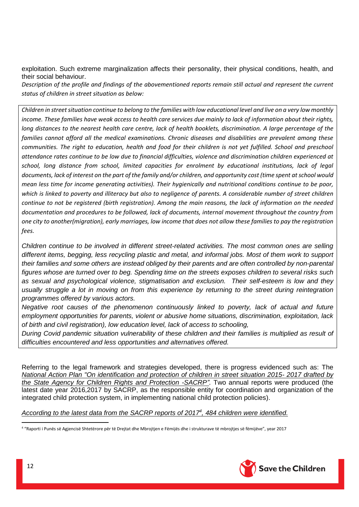exploitation. Such extreme marginalization affects their personality, their physical conditions, health, and their social behaviour.

*Description of the profile and findings of the abovementioned reports remain still actual and represent the current status of children in street situation as below:*

*Children in street situation continue to belong to the families with low educational level and live on a very low monthly income. These families have weak access to health care services due mainly to lack of information about their rights,*  long distances to the nearest health care centre, lack of health booklets, discrimination. A large percentage of the *families cannot afford all the medical examinations. Chronic diseases and disabilities are prevalent among these*  communities. The right to education, health and food for their children is not yet fulfilled. School and preschool *attendance rates continue to be low due to financial difficulties, violence and discrimination children experienced at school, long distance from school, limited capacities for enrolment by educational institutions, lack of legal documents, lack of interest on the part of the family and/or children, and opportunity cost (time spent at school would mean less time for income generating activities). Their hygienically and nutritional conditions continue to be poor, which is linked to poverty and illiteracy but also to negligence of parents. A considerable number of street children continue to not be registered (birth registration). Among the main reasons, the lack of information on the needed documentation and procedures to be followed, lack of documents, internal movement throughout the country from one city to another(migration), early marriages, low income that does not allow these families to pay the registration fees.* 

*Children continue to be involved in different street-related activities. The most common ones are selling different items, begging, less recycling plastic and metal, and informal jobs. Most of them work to support their families and some others are instead obliged by their parents and are often controlled by non-parental figures whose are turned over to beg. Spending time on the streets exposes children to several risks such as sexual and psychological violence, stigmatisation and exclusion. Their self-esteem is low and they usually struggle a lot in moving on from this experience by returning to the street during reintegration programmes offered by various actors.*

*Negative root causes of the phenomenon continuously linked to poverty, lack of actual and future employment opportunities for parents, violent or abusive home situations, discrimination, exploitation, lack of birth and civil registration), low education level, lack of access to schooling,* 

*During Covid pandemic situation vulnerability of these children and their families is multiplied as result of difficulties encountered and less opportunities and alternatives offered.*

Referring to the legal framework and strategies developed, there is progress evidenced such as: The *National Action Plan "On identification and protection of children in street situation 2015- 2017 drafted by the State Agency for Children Rights and Protection -SACRP"*. Two annual reports were produced (the latest date year 2016,2017 by SACRP, as the responsible entity for coordination and organization of the integrated child protection system, in implementing national child protection policies).

*According to the latest data from the SACRP reports of 2017<sup>4</sup> , 484 children were identified.*



**<sup>.</sup>** <sup>4</sup> "Raporti i Punës së Agjencisë Shtetërore për të Drejtat dhe Mbrojtjen e Fëmijës dhe i strukturave të mbrojtjes së fëmijëve", year 2017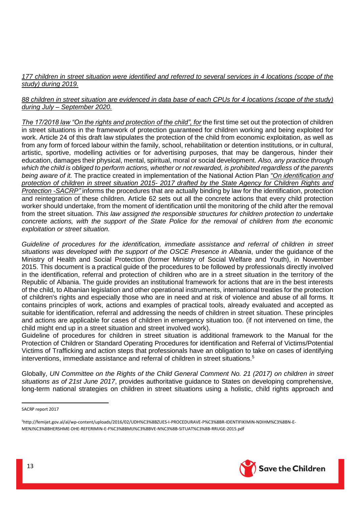# *177 children in street situation were identified and referred to several services in 4 locations (scope of the study) during 2019.*

# *88 children in street situation are evidenced in data base of each CPUs for 4 locations (scope of the study) during July – September 2020.*

*The 17/2018 law "On the rights and protection of the child", for* the first time set out the protection of children in street situations in the framework of protection guaranteed for children working and being exploited for work. Article 24 of this draft law stipulates the protection of the child from economic exploitation, as well as from any form of forced labour within the family, school, rehabilitation or detention institutions, or in cultural, artistic, sportive, modelling activities or for advertising purposes, that may be dangerous, hinder their education, damages their physical, mental, spiritual, moral or social development. *Also, any practice through which the child is obliged to perform actions, whether or not rewarded, is prohibited regardless of the parents being aware of it.* The practice created in implementation of the National Action Plan *"On identification and protection of children in street situation 2015- 2017 drafted by the State Agency for Children Rights and Protection -SACRP"* informs the procedures that are actually binding by law for the identification, protection and reintegration of these children. Article 62 sets out all the concrete actions that every child protection worker should undertake, from the moment of identification until the monitoring of the child after the removal from the street situation. *This law assigned the responsible structures for children protection to undertake concrete actions, with the support of the State Police for the removal of children from the economic exploitation or street situation.*

*Guideline of procedures for the identification, immediate assistance and referral of children in street situations was developed with the support of the OSCE Presence in Albania*, under the guidance of the Ministry of Health and Social Protection (former Ministry of Social Welfare and Youth), in November 2015. This document is a practical guide of the procedures to be followed by professionals directly involved in the identification, referral and protection of children who are in a street situation in the territory of the Republic of Albania. The guide provides an institutional framework for actions that are in the best interests of the child, to Albanian legislation and other operational instruments, international treaties for the protection of children's rights and especially those who are in need and at risk of violence and abuse of all forms. It contains principles of work, actions and examples of practical tools, already evaluated and accepted as suitable for identification, referral and addressing the needs of children in street situation. These principles and actions are applicable for cases of children in emergency situation too. (if not intervened on time, the child might end up in a street situation and street involved work).

Guideline of procedures for children in street situation is additional framework to the Manual for the Protection of Children or Standard Operating Procedures for identification and Referral of Victims/Potential Victims of Trafficking and action steps that professionals have an obligation to take on cases of identifying interventions, immediate assistance and referral of children in street situations.<sup>5</sup>

Globally, *UN Committee on the Rights of the Child General Comment No. 21 (2017) on children in street situations as of 21st June 2017*, provides authoritative guidance to States on developing comprehensive, long-term national strategies on children in street situations using a holistic, child rights approach and

**.** 



SACRP report 2017

<sup>5</sup>http://femijet.gov.al/al/wp-content/uploads/2016/02/UDH%C3%8BZUES-I-PROCEDURAVE-P%C3%8BR-IDENTIFIKIMIN-NDIHM%C3%8BN-E-MENJ%C3%8BHERSHME-DHE-REFERIMIN-E-F%C3%8BMIJ%C3%8BVE-N%C3%8B-SITUAT%C3%8B-RRUGE-2015.pdf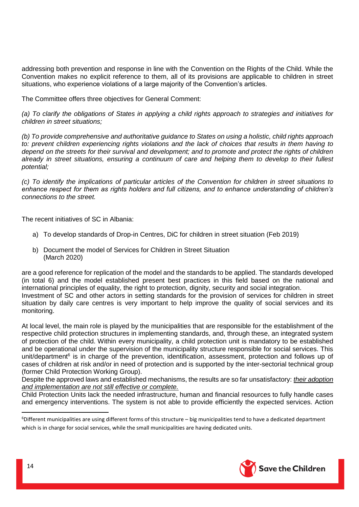addressing both prevention and response in line with the Convention on the Rights of the Child. While the Convention makes no explicit reference to them, all of its provisions are applicable to children in street situations, who experience violations of a large majority of the Convention's articles.

The Committee offers three objectives for General Comment:

*(a) To clarify the obligations of States in applying a child rights approach to strategies and initiatives for children in street situations;*

*(b) To provide comprehensive and authoritative guidance to States on using a holistic, child rights approach to: prevent children experiencing rights violations and the lack of choices that results in them having to depend on the streets for their survival and development; and to promote and protect the rights of children already in street situations, ensuring a continuum of care and helping them to develop to their fullest potential;*

*(c) To identify the implications of particular articles of the Convention for children in street situations to enhance respect for them as rights holders and full citizens, and to enhance understanding of children's connections to the street.*

The recent initiatives of SC in Albania:

- a) To develop standards of Drop-in Centres, DiC for children in street situation (Feb 2019)
- b) Document the model of Services for Children in Street Situation (March 2020)

are a good reference for replication of the model and the standards to be applied. The standards developed (in total 6) and the model established present best practices in this field based on the national and international principles of equality, the right to protection, dignity, security and social integration. Investment of SC and other actors in setting standards for the provision of services for children in street situation by daily care centres is very important to help improve the quality of social services and its monitoring.

At local level, the main role is played by the municipalities that are responsible for the establishment of the respective child protection structures in implementing standards, and, through these, an integrated system of protection of the child. Within every municipality, a child protection unit is mandatory to be established and be operational under the supervision of the municipality structure responsible for social services. This unit/department<sup>6</sup> is in charge of the prevention, identification, assessment, protection and follows up of cases of children at risk and/or in need of protection and is supported by the inter-sectorial technical group (former Child Protection Working Group).

Despite the approved laws and established mechanisms, the results are so far unsatisfactory: *their adoption and implementation are not still effective or complete.* 

Child Protection Units lack the needed infrastructure, human and financial resources to fully handle cases and emergency interventions. The system is not able to provide efficiently the expected services. Action



**.** 

 $6$ Different municipalities are using different forms of this structure – big municipalities tend to have a dedicated department which is in charge for social services, while the small municipalities are having dedicated units.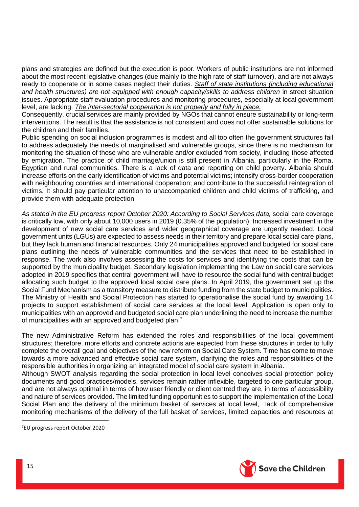plans and strategies are defined but the execution is poor. Workers of public institutions are not informed about the most recent legislative changes (due mainly to the high rate of staff turnover), and are not always ready to cooperate or in some cases neglect their duties. *Staff of state institutions (including educational*  and health structures) are not equipped with enough capacity/skills to address children in street situation issues. Appropriate staff evaluation procedures and monitoring procedures, especially at local government level, are lacking. *The inter-sectorial cooperation is not properly and fully in place.* 

Consequently, crucial services are mainly provided by NGOs that cannot ensure sustainability or long-term interventions. The result is that the assistance is not consistent and does not offer sustainable solutions for the children and their families.

Public spending on social inclusion programmes is modest and all too often the government structures fail to address adequately the needs of marginalised and vulnerable groups, since there is no mechanism for monitoring the situation of those who are vulnerable and/or excluded from society, including those affected by emigration. The practice of child marriage/union is still present in Albania, particularly in the Roma, Egyptian and rural communities. There is a lack of data and reporting on child poverty. Albania should increase efforts on the early identification of victims and potential victims; intensify cross-border cooperation with neighbouring countries and international cooperation; and contribute to the successful reintegration of victims. It should pay particular attention to unaccompanied children and child victims of trafficking, and provide them with adequate protection

*As stated in the EU progress report October 2020: According to Social Services data,* social care coverage is critically low, with only about 10,000 users in 2019 (0.35% of the population). Increased investment in the development of new social care services and wider geographical coverage are urgently needed. Local government units (LGUs) are expected to assess needs in their territory and prepare local social care plans, but they lack human and financial resources. Only 24 municipalities approved and budgeted for social care plans outlining the needs of vulnerable communities and the services that need to be established in response. The work also involves assessing the costs for services and identifying the costs that can be supported by the municipality budget. Secondary legislation implementing the Law on social care services adopted in 2019 specifies that central government will have to resource the social fund with central budget allocating such budget to the approved local social care plans. In April 2019, the government set up the Social Fund Mechanism as a transitory measure to distribute funding from the state budget to municipalities. The Ministry of Health and Social Protection has started to operationalise the social fund by awarding 14 projects to support establishment of social care services at the local level. Application is open only to municipalities with an approved and budgeted social care plan underlining the need to increase the number of municipalities with an approved and budgeted plan.<sup>7</sup>

The new Administrative Reform has extended the roles and responsibilities of the local government structures; therefore, more efforts and concrete actions are expected from these structures in order to fully complete the overall goal and objectives of the new reform on Social Care System. Time has come to move towards a more advanced and effective social care system, clarifying the roles and responsibilities of the responsible authorities in organizing an integrated model of social care system in Albania.

Although SWOT analysis regarding the social protection in local level conceives social protection policy documents and good practices/models, services remain rather inflexible, targeted to one particular group, and are not always optimal in terms of how user friendly or client centred they are, in terms of accessibility and nature of services provided. The limited funding opportunities to support the implementation of the Local Social Plan and the delivery of the minimum basket of services at local level, lack of comprehensive monitoring mechanisms of the delivery of the full basket of services, limited capacities and resources at



1

<sup>7</sup>EU progress report October 2020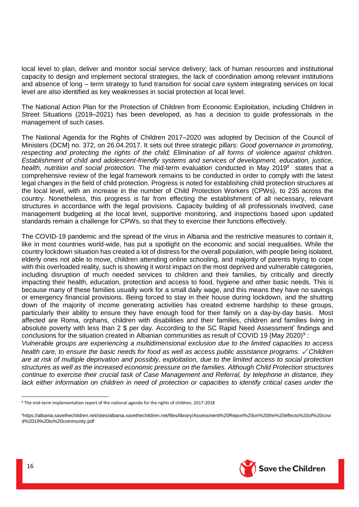local level to plan, deliver and monitor social service delivery; lack of human resources and institutional capacity to design and implement sectoral strategies, the lack of coordination among relevant institutions and absence of long – term strategy to fund transition for social care system integrating services on local level are also identified as key weaknesses in social protection at local level.

The National Action Plan for the Protection of Children from Economic Exploitation, including Children in Street Situations (2019–2021) has been developed, as has a decision to guide professionals in the management of such cases.

The National Agenda for the Rights of Children 2017–2020 was adopted by Decision of the Council of Ministers (DCM) no. 372, on 26.04.2017. It sets out three strategic pillars: *Good governance in promoting, respecting and protecting the rights of the child; Elimination of all forms of violence against children. Establishment of child and adolescent-friendly systems and services of development, education, justice,*  health, nutrition and social protection. The mid-term evaluation conducted in May 2019<sup>8</sup> states that a comprehensive review of the legal framework remains to be conducted in order to comply with the latest legal changes in the field of child protection. Progress is noted for establishing child protection structures at the local level, with an increase in the number of Child Protection Workers (CPWs), to 235 across the country. Nonetheless, this progress is far from effecting the establishment of all necessary, relevant structures in accordance with the legal provisions. Capacity building of all professionals involved, case management budgeting at the local level, supportive monitoring, and inspections based upon updated standards remain a challenge for CPWs, so that they to exercise their functions effectively.

The COVID-19 pandemic and the spread of the virus in Albania and the restrictive measures to contain it, like in most countries world-wide, has put a spotlight on the economic and social inequalities. While the country lockdown situation has created a lot of distress for the overall population, with people being isolated, elderly ones not able to move, children attending online schooling, and majority of parents trying to cope with this overloaded reality, such is showing it worst impact on the most deprived and vulnerable categories, including disruption of much needed services to children and their families, by critically and directly impacting their health, education, protection and access to food, hygiene and other basic needs. This is because many of these families usually work for a small daily wage, and this means they have no savings or emergency financial provisions. Being forced to stay in their house during lockdown, and the shutting down of the majority of income generating activities has created extreme hardship to these groups, particularly their ability to ensure they have enough food for their family on a day-by-day basis. Most affected are Roma, orphans, children with disabilities and their families, children and families living in absolute poverty with less than 2 \$ per day. According to the SC Rapid Need Assessment' findings and conclusions for the situation created in Albanian communities as result of COVID 19 (May 2020)<sup>9</sup>:

*Vulnerable groups are experiencing a multidimensional exclusion due to the limited capacities to access health care, to ensure the basic needs for food as well as access public assistance programs. ✓ Children are at risk of multiple deprivation and possibly, exploitation, due to the limited access to social protection structures as well as the increased economic pressure on the families. Although Child Protection structures continue to exercise their crucial task of Case Management and Referral, by telephone in distance, they*  lack either information on children in need of protection or capacities to identify critical cases under the



**.** 

<sup>8</sup> The mid-term implementation report of the national agenda for the rights of children, 2017-2018

<sup>9</sup>h[ttps://albania.savethechildren.net/sites/albania.savethechildren.net/files/library/Assessment%20Report%20on%20the%20effects%20of%20covi](https://albania.savethechildren.net/sites/albania.savethechildren.net/files/library/Assessment%20Report%20on%20the%20effects%20of%20covid%2019%20to%20community.pdf) [d%2019%20to%20community.pdf](https://albania.savethechildren.net/sites/albania.savethechildren.net/files/library/Assessment%20Report%20on%20the%20effects%20of%20covid%2019%20to%20community.pdf)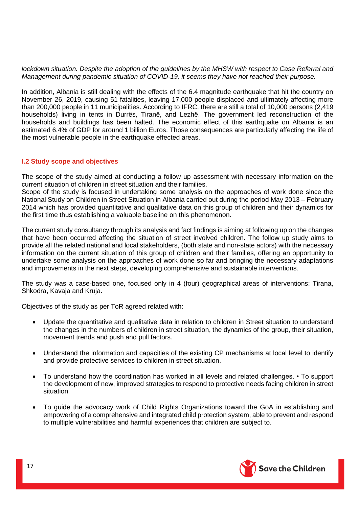*lockdown situation. Despite the adoption of the guidelines by the MHSW with respect to Case Referral and Management during pandemic situation of COVID-19, it seems they have not reached their purpose.*

In addition, Albania is still dealing with the effects of the 6.4 magnitude earthquake that hit the country on November 26, 2019, causing 51 fatalities, leaving 17,000 people displaced and ultimately affecting more than 200,000 people in 11 municipalities. According to IFRC, there are still a total of 10,000 persons (2,419 households) living in tents in Durrës, Tiranë, and Lezhë. The government led reconstruction of the households and buildings has been halted. The economic effect of this earthquake on Albania is an estimated 6.4% of GDP for around 1 billion Euros. Those consequences are particularly affecting the life of the most vulnerable people in the earthquake effected areas.

#### <span id="page-16-0"></span>**I.2 Study scope and objectives**

The scope of the study aimed at conducting a follow up assessment with necessary information on the current situation of children in street situation and their families.

Scope of the study is focused in undertaking some analysis on the approaches of work done since the National Study on Children in Street Situation in Albania carried out during the period May 2013 – February 2014 which has provided quantitative and qualitative data on this group of children and their dynamics for the first time thus establishing a valuable baseline on this phenomenon.

The current study consultancy through its analysis and fact findings is aiming at following up on the changes that have been occurred affecting the situation of street involved children. The follow up study aims to provide all the related national and local stakeholders, (both state and non-state actors) with the necessary information on the current situation of this group of children and their families, offering an opportunity to undertake some analysis on the approaches of work done so far and bringing the necessary adaptations and improvements in the next steps, developing comprehensive and sustainable interventions.

The study was a case-based one, focused only in 4 (four) geographical areas of interventions: Tirana, Shkodra, Kavaja and Kruja.

Objectives of the study as per ToR agreed related with:

- Update the quantitative and qualitative data in relation to children in Street situation to understand the changes in the numbers of children in street situation, the dynamics of the group, their situation, movement trends and push and pull factors.
- Understand the information and capacities of the existing CP mechanisms at local level to identify and provide protective services to children in street situation.
- To understand how the coordination has worked in all levels and related challenges. To support the development of new, improved strategies to respond to protective needs facing children in street situation.
- To guide the advocacy work of Child Rights Organizations toward the GoA in establishing and empowering of a comprehensive and integrated child protection system, able to prevent and respond to multiple vulnerabilities and harmful experiences that children are subject to.

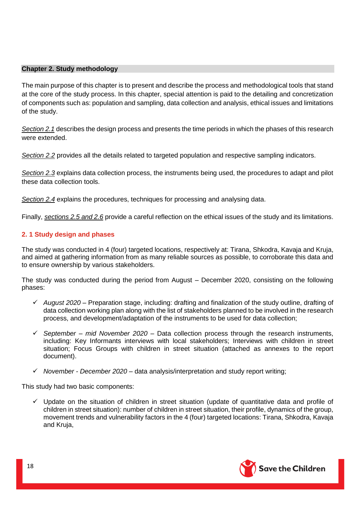#### <span id="page-17-0"></span>**Chapter 2. Study methodology**

The main purpose of this chapter is to present and describe the process and methodological tools that stand at the core of the study process. In this chapter, special attention is paid to the detailing and concretization of components such as: population and sampling, data collection and analysis, ethical issues and limitations of the study.

*Section 2.1* describes the design process and presents the time periods in which the phases of this research were extended.

*Section 2.2* provides all the details related to targeted population and respective sampling indicators.

*Section 2.3* explains data collection process, the instruments being used, the procedures to adapt and pilot these data collection tools.

*Section 2.4* explains the procedures, techniques for processing and analysing data.

Finally, *sections 2.5 and 2.6* provide a careful reflection on the ethical issues of the study and its limitations.

# <span id="page-17-1"></span>**2. 1 Study design and phases**

The study was conducted in 4 (four) targeted locations, respectively at: Tirana, Shkodra, Kavaja and Kruja, and aimed at gathering information from as many reliable sources as possible, to corroborate this data and to ensure ownership by various stakeholders.

The study was conducted during the period from August – December 2020, consisting on the following phases:

- ✓ *August 2020* Preparation stage, including: drafting and finalization of the study outline, drafting of data collection working plan along with the list of stakeholders planned to be involved in the research process, and development/adaptation of the instruments to be used for data collection;
- ✓ *September – mid November 2020* Data collection process through the research instruments, including: Key Informants interviews with local stakeholders; Interviews with children in street situation; Focus Groups with children in street situation (attached as annexes to the report document).
- ✓ *November - December 2020* data analysis/interpretation and study report writing;

This study had two basic components:

 $\checkmark$  Update on the situation of children in street situation (update of quantitative data and profile of children in street situation): number of children in street situation, their profile, dynamics of the group, movement trends and vulnerability factors in the 4 (four) targeted locations: Tirana, Shkodra, Kavaja and Kruja,

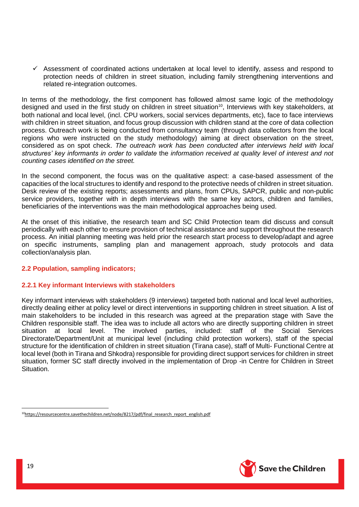$\checkmark$  Assessment of coordinated actions undertaken at local level to identify, assess and respond to protection needs of children in street situation, including family strengthening interventions and related re-integration outcomes.

In terms of the methodology, the first component has followed almost same logic of the methodology designed and used in the first study on children in street situation<sup>10</sup>, Interviews with key stakeholders, at both national and local level, (incl. CPU workers, social services departments, etc), face to face interviews with children in street situation, and focus group discussion with children stand at the core of data collection process. Outreach work is being conducted from consultancy team (through data collectors from the local regions who were instructed on the study methodology) aiming at direct observation on the street, considered as on spot check. *The outreach work has been conducted after interviews held with local structures' key informants in order to validate* the *information received at quality level of interest and not counting cases identified on the street.*

In the second component, the focus was on the qualitative aspect: a case-based assessment of the capacities of the local structures to identify and respond to the protective needs of children in street situation. Desk review of the existing reports; assessments and plans, from CPUs, SAPCR, public and non-public service providers, together with in depth interviews with the same key actors, children and families, beneficiaries of the interventions was the main methodological approaches being used.

At the onset of this initiative, the research team and SC Child Protection team did discuss and consult periodically with each other to ensure provision of technical assistance and support throughout the research process. An initial planning meeting was held prior the research start process to develop/adapt and agree on specific instruments, sampling plan and management approach, study protocols and data collection/analysis plan.

# <span id="page-18-0"></span>**2.2 Population, sampling indicators;**

# <span id="page-18-1"></span>**2.2.1 Key informant Interviews with stakeholders**

Key informant interviews with stakeholders (9 interviews) targeted both national and local level authorities, directly dealing either at policy level or direct interventions in supporting children in street situation. A list of main stakeholders to be included in this research was agreed at the preparation stage with Save the Children responsible staff. The idea was to include all actors who are directly supporting children in street situation at local level. The involved parties, included: staff of the Social Services Directorate/Department/Unit at municipal level (including child protection workers), staff of the special structure for the identification of children in street situation (Tirana case), staff of Multi- Functional Centre at local level (both in Tirana and Shkodra) responsible for providing direct support services for children in street situation, former SC staff directly involved in the implementation of Drop -in Centre for Children in Street **Situation** 



**.** 

<sup>10</sup>[https://resourcecentre.savethechildren.net/node/8217/pdf/final\\_research\\_report\\_english.pdf](https://resourcecentre.savethechildren.net/node/8217/pdf/final_research_report_english.pdf)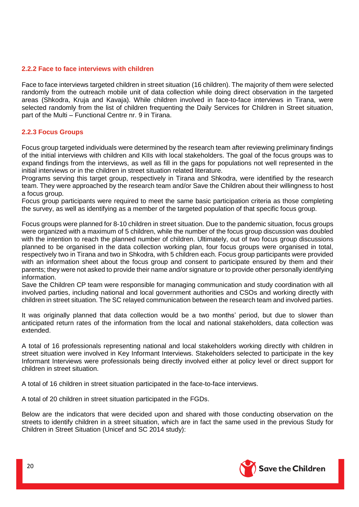#### <span id="page-19-0"></span>**2.2.2 Face to face interviews with children**

Face to face interviews targeted children in street situation (16 children). The majority of them were selected randomly from the outreach mobile unit of data collection while doing direct observation in the targeted areas (Shkodra, Kruja and Kavaja). While children involved in face-to-face interviews in Tirana, were selected randomly from the list of children frequenting the Daily Services for Children in Street situation, part of the Multi – Functional Centre nr. 9 in Tirana.

#### <span id="page-19-1"></span>**2.2.3 Focus Groups**

Focus group targeted individuals were determined by the research team after reviewing preliminary findings of the initial interviews with children and KIIs with local stakeholders. The goal of the focus groups was to expand findings from the interviews, as well as fill in the gaps for populations not well represented in the initial interviews or in the children in street situation related literature.

Programs serving this target group, respectively in Tirana and Shkodra, were identified by the research team. They were approached by the research team and/or Save the Children about their willingness to host a focus group.

Focus group participants were required to meet the same basic participation criteria as those completing the survey, as well as identifying as a member of the targeted population of that specific focus group.

Focus groups were planned for 8-10 children in street situation. Due to the pandemic situation, focus groups were organized with a maximum of 5 children, while the number of the focus group discussion was doubled with the intention to reach the planned number of children. Ultimately, out of two focus group discussions planned to be organised in the data collection working plan, four focus groups were organised in total, respectively two in Tirana and two in Shkodra, with 5 children each. Focus group participants were provided with an information sheet about the focus group and consent to participate ensured by them and their parents; they were not asked to provide their name and/or signature or to provide other personally identifying information.

Save the Children CP team were responsible for managing communication and study coordination with all involved parties, including national and local government authorities and CSOs and working directly with children in street situation. The SC relayed communication between the research team and involved parties.

It was originally planned that data collection would be a two months' period, but due to slower than anticipated return rates of the information from the local and national stakeholders, data collection was extended.

A total of 16 professionals representing national and local stakeholders working directly with children in street situation were involved in Key Informant Interviews. Stakeholders selected to participate in the key Informant Interviews were professionals being directly involved either at policy level or direct support for children in street situation.

A total of 16 children in street situation participated in the face-to-face interviews.

A total of 20 children in street situation participated in the FGDs.

Below are the indicators that were decided upon and shared with those conducting observation on the streets to identify children in a street situation, which are in fact the same used in the previous Study for Children in Street Situation (Unicef and SC 2014 study):

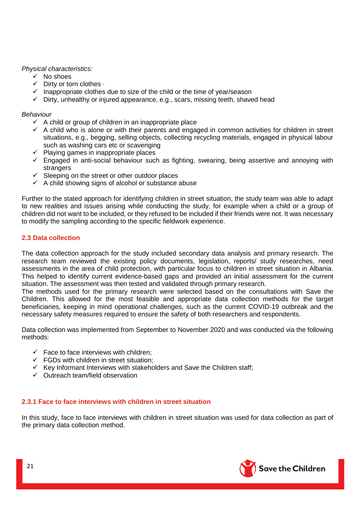#### *Physical characteristics:*

- ✓ No shoes
- $\checkmark$  Dirty or torn clothes  $\cdot$
- $\checkmark$  Inappropriate clothes due to size of the child or the time of year/season
- $\checkmark$  Dirty, unhealthy or injured appearance, e.g., scars, missing teeth, shaved head

#### *Behaviour*

- $\checkmark$  A child or group of children in an inappropriate place
- $\checkmark$  A child who is alone or with their parents and engaged in common activities for children in street situations, e.g., begging, selling objects, collecting recycling materials, engaged in physical labour such as washing cars etc or scavenging
- ✓ Playing games in inappropriate places
- $\checkmark$  Engaged in anti-social behaviour such as fighting, swearing, being assertive and annoying with strangers
- $\checkmark$  Sleeping on the street or other outdoor places
- $\checkmark$  A child showing signs of alcohol or substance abuse

Further to the stated approach for identifying children in street situation, the study team was able to adapt to new realities and issues arising while conducting the study, for example when a child or a group of children did not want to be included, or they refused to be included if their friends were not. It was necessary to modify the sampling according to the specific fieldwork experience.

# <span id="page-20-0"></span>**2.3 Data collection**

The data collection approach for the study included secondary data analysis and primary research. The research team reviewed the existing policy documents, legislation, reports/ study researches, need assessments in the area of child protection, with particular focus to children in street situation in Albania. This helped to identify current evidence-based gaps and provided an initial assessment for the current situation. The assessment was then tested and validated through primary research.

The methods used for the primary research were selected based on the consultations with Save the Children. This allowed for the most feasible and appropriate data collection methods for the target beneficiaries, keeping in mind operational challenges, such as the current COVID-19 outbreak and the necessary safety measures required to ensure the safety of both researchers and respondents.

Data collection was implemented from September to November 2020 and was conducted via the following methods:

- $\checkmark$  Face to face interviews with children;
- $\checkmark$  FGDs with children in street situation:
- ✓ Key Informant Interviews with stakeholders and Save the Children staff;
- ✓ Outreach team/field observation

# <span id="page-20-1"></span>**2.3.1 Face to face interviews with children in street situation**

In this study, face to face interviews with children in street situation was used for data collection as part of the primary data collection method.

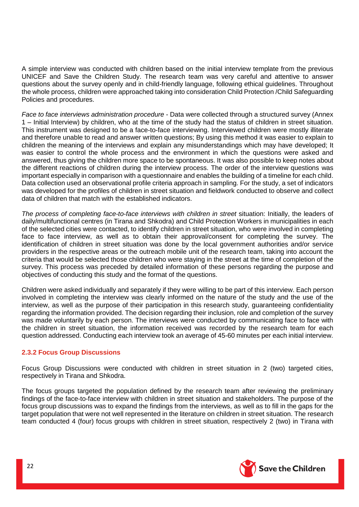A simple interview was conducted with children based on the initial interview template from the previous UNICEF and Save the Children Study. The research team was very careful and attentive to answer questions about the survey openly and in child-friendly language, following ethical guidelines. Throughout the whole process, children were approached taking into consideration Child Protection /Child Safeguarding Policies and procedures.

*Face to face interviews administration procedure* - Data were collected through a structured survey (Annex 1 – Initial Interview) by children, who at the time of the study had the status of children in street situation. This instrument was designed to be a face-to-face interviewing. Interviewed children were mostly illiterate and therefore unable to read and answer written questions; By using this method it was easier to explain to children the meaning of the interviews and explain any misunderstandings which may have developed; It was easier to control the whole process and the environment in which the questions were asked and answered, thus giving the children more space to be spontaneous. It was also possible to keep notes about the different reactions of children during the interview process. The order of the interview questions was important especially in comparison with a questionnaire and enables the building of a timeline for each child. Data collection used an observational profile criteria approach in sampling. For the study, a set of indicators was developed for the profiles of children in street situation and fieldwork conducted to observe and collect data of children that match with the established indicators.

*The process of completing face-to-face interviews with children in street* situation: Initially, the leaders of daily/multifunctional centres (in Tirana and Shkodra) and Child Protection Workers in municipalities in each of the selected cities were contacted, to identify children in street situation, who were involved in completing face to face interview, as well as to obtain their approval/consent for completing the survey. The identification of children in street situation was done by the local government authorities and/or service providers in the respective areas or the outreach mobile unit of the research team, taking into account the criteria that would be selected those children who were staying in the street at the time of completion of the survey. This process was preceded by detailed information of these persons regarding the purpose and objectives of conducting this study and the format of the questions.

Children were asked individually and separately if they were willing to be part of this interview. Each person involved in completing the interview was clearly informed on the nature of the study and the use of the interview, as well as the purpose of their participation in this research study, guaranteeing confidentiality regarding the information provided. The decision regarding their inclusion, role and completion of the survey was made voluntarily by each person. The interviews were conducted by communicating face to face with the children in street situation, the information received was recorded by the research team for each question addressed. Conducting each interview took an average of 45-60 minutes per each initial interview.

# <span id="page-21-0"></span>**2.3.2 Focus Group Discussions**

Focus Group Discussions were conducted with children in street situation in 2 (two) targeted cities, respectively in Tirana and Shkodra.

The focus groups targeted the population defined by the research team after reviewing the preliminary findings of the face-to-face interview with children in street situation and stakeholders. The purpose of the focus group discussions was to expand the findings from the interviews, as well as to fill in the gaps for the target population that were not well represented in the literature on children in street situation. The research team conducted 4 (four) focus groups with children in street situation, respectively 2 (two) in Tirana with

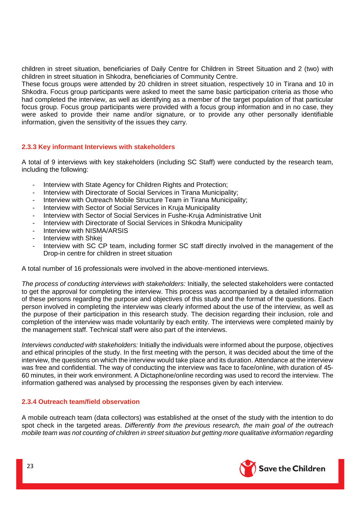children in street situation, beneficiaries of Daily Centre for Children in Street Situation and 2 (two) with children in street situation in Shkodra, beneficiaries of Community Centre.

These focus groups were attended by 20 children in street situation, respectively 10 in Tirana and 10 in Shkodra. Focus group participants were asked to meet the same basic participation criteria as those who had completed the interview, as well as identifying as a member of the target population of that particular focus group. Focus group participants were provided with a focus group information and in no case, they were asked to provide their name and/or signature, or to provide any other personally identifiable information, given the sensitivity of the issues they carry.

# <span id="page-22-0"></span>**2.3.3 Key informant Interviews with stakeholders**

A total of 9 interviews with key stakeholders (including SC Staff) were conducted by the research team, including the following:

- Interview with State Agency for Children Rights and Protection;
- Interview with Directorate of Social Services in Tirana Municipality;
- Interview with Outreach Mobile Structure Team in Tirana Municipality;
- Interview with Sector of Social Services in Kruja Municipality
- Interview with Sector of Social Services in Fushe-Kruja Administrative Unit
- Interview with Directorate of Social Services in Shkodra Municipality
- Interview with NISMA/ARSIS
- Interview with Shkei
- Interview with SC CP team, including former SC staff directly involved in the management of the Drop-in centre for children in street situation

A total number of 16 professionals were involved in the above-mentioned interviews.

*The process of conducting interviews with stakeholders:* Initially, the selected stakeholders were contacted to get the approval for completing the interview. This process was accompanied by a detailed information of these persons regarding the purpose and objectives of this study and the format of the questions. Each person involved in completing the interview was clearly informed about the use of the interview, as well as the purpose of their participation in this research study. The decision regarding their inclusion, role and completion of the interview was made voluntarily by each entity. The interviews were completed mainly by the management staff. Technical staff were also part of the interviews.

*Interviews conducted with stakeholders:* Initially the individuals were informed about the purpose, objectives and ethical principles of the study. In the first meeting with the person, it was decided about the time of the interview, the questions on which the interview would take place and its duration. Attendance at the interview was free and confidential. The way of conducting the interview was face to face/online, with duration of 45- 60 minutes, in their work environment. A Dictaphone/online recording was used to record the interview. The information gathered was analysed by processing the responses given by each interview.

# <span id="page-22-1"></span>**2.3.4 Outreach team/field observation**

A mobile outreach team (data collectors) was established at the onset of the study with the intention to do spot check in the targeted areas. *Differently from the previous research, the main goal of the outreach mobile team was not counting of children in street situation but getting more qualitative information regarding* 

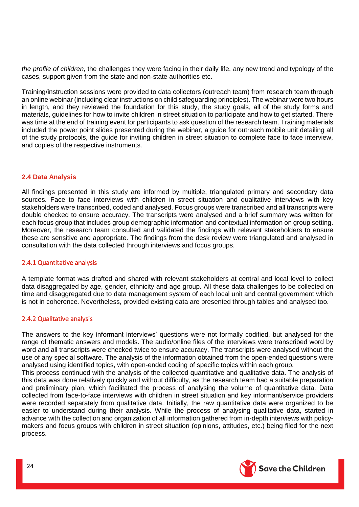*the profile of children*, the challenges they were facing in their daily life, any new trend and typology of the cases, support given from the state and non-state authorities etc.

Training/instruction sessions were provided to data collectors (outreach team) from research team through an online webinar (including clear instructions on child safeguarding principles). The webinar were two hours in length, and they reviewed the foundation for this study, the study goals, all of the study forms and materials, guidelines for how to invite children in street situation to participate and how to get started. There was time at the end of training event for participants to ask question of the research team. Training materials included the power point slides presented during the webinar, a guide for outreach mobile unit detailing all of the study protocols, the guide for inviting children in street situation to complete face to face interview, and copies of the respective instruments.

#### <span id="page-23-0"></span>**2.4 Data Analysis**

All findings presented in this study are informed by multiple, triangulated primary and secondary data sources. Face to face interviews with children in street situation and qualitative interviews with key stakeholders were transcribed, coded and analysed. Focus groups were transcribed and all transcripts were double checked to ensure accuracy. The transcripts were analysed and a brief summary was written for each focus group that includes group demographic information and contextual information on group setting. Moreover, the research team consulted and validated the findings with relevant stakeholders to ensure these are sensitive and appropriate. The findings from the desk review were triangulated and analysed in consultation with the data collected through interviews and focus groups.

#### <span id="page-23-1"></span>2.4.1 Quantitative analysis

A template format was drafted and shared with relevant stakeholders at central and local level to collect data disaggregated by age, gender, ethnicity and age group. All these data challenges to be collected on time and disaggregated due to data management system of each local unit and central government which is not in coherence. Nevertheless, provided existing data are presented through tables and analysed too.

# 2.4.2 Qualitative analysis

The answers to the key informant interviews' questions were not formally codified, but analysed for the range of thematic answers and models. The audio/online files of the interviews were transcribed word by word and all transcripts were checked twice to ensure accuracy. The transcripts were analysed without the use of any special software. The analysis of the information obtained from the open-ended questions were analysed using identified topics, with open-ended coding of specific topics within each group.

This process continued with the analysis of the collected quantitative and qualitative data. The analysis of this data was done relatively quickly and without difficulty, as the research team had a suitable preparation and preliminary plan, which facilitated the process of analysing the volume of quantitative data. Data collected from face-to-face interviews with children in street situation and key informant/service providers were recorded separately from qualitative data. Initially, the raw quantitative data were organized to be easier to understand during their analysis. While the process of analysing qualitative data, started in advance with the collection and organization of all information gathered from in-depth interviews with policymakers and focus groups with children in street situation (opinions, attitudes, etc.) being filed for the next process.

<span id="page-23-2"></span>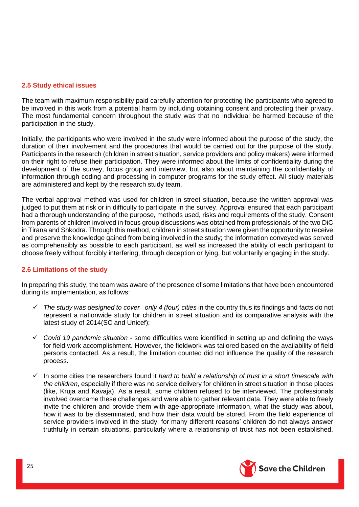#### <span id="page-24-0"></span>**2.5 Study ethical issues**

The team with maximum responsibility paid carefully attention for protecting the participants who agreed to be involved in this work from a potential harm by including obtaining consent and protecting their privacy. The most fundamental concern throughout the study was that no individual be harmed because of the participation in the study.

Initially, the participants who were involved in the study were informed about the purpose of the study, the duration of their involvement and the procedures that would be carried out for the purpose of the study. Participants in the research (children in street situation, service providers and policy makers) were informed on their right to refuse their participation. They were informed about the limits of confidentiality during the development of the survey, focus group and interview, but also about maintaining the confidentiality of information through coding and processing in computer programs for the study effect. All study materials are administered and kept by the research study team.

The verbal approval method was used for children in street situation, because the written approval was judged to put them at risk or in difficulty to participate in the survey. Approval ensured that each participant had a thorough understanding of the purpose, methods used, risks and requirements of the study. Consent from parents of children involved in focus group discussions was obtained from professionals of the two DiC in Tirana and Shkodra. Through this method, children in street situation were given the opportunity to receive and preserve the knowledge gained from being involved in the study; the information conveyed was served as comprehensibly as possible to each participant, as well as increased the ability of each participant to choose freely without forcibly interfering, through deception or lying, but voluntarily engaging in the study.

# <span id="page-24-1"></span>**2.6 Limitations of the study**

In preparing this study, the team was aware of the presence of some limitations that have been encountered during its implementation, as follows:

- ✓ *The study was designed to cover only 4 (four) cities* in the country thus its findings and facts do not represent a nationwide study for children in street situation and its comparative analysis with the latest study of 2014(SC and Unicef);
- ✓ *Covid 19 pandemic situation* some difficulties were identified in setting up and defining the ways for field work accomplishment. However, the fieldwork was tailored based on the availability of field persons contacted. As a result, the limitation counted did not influence the quality of the research process.
- ✓ In some cities the researchers found it *hard to build a relationship of trust in a short timescale with the children*, especially if there was no service delivery for children in street situation in those places (like, Kruja and Kavaja). As a result, some children refused to be interviewed. The professionals involved overcame these challenges and were able to gather relevant data. They were able to freely invite the children and provide them with age-appropriate information, what the study was about, how it was to be disseminated, and how their data would be stored. From the field experience of service providers involved in the study, for many different reasons' children do not always answer truthfully in certain situations, particularly where a relationship of trust has not been established.

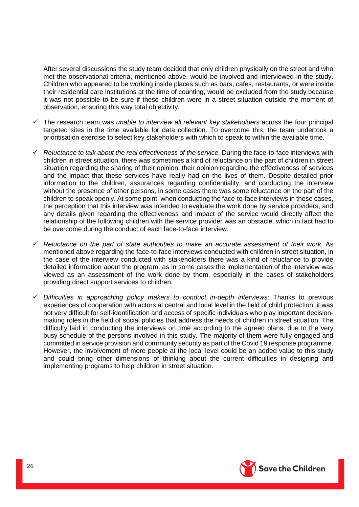After several discussions the study team decided that only children physically on the street and who met the observational criteria, mentioned above, would be involved and interviewed in the study. Children who appeared to be working inside places such as bars, cafes, restaurants, or were inside their residential care institutions at the time of counting, would be excluded from the study because it was not possible to be sure if these children were in a street situation outside the moment of observation, ensuring this way total objectivity.

- ✓ The research team was *unable to interview all relevant key stakeholders* across the four principal targeted sites in the time available for data collection. To overcome this, the team undertook a prioritisation exercise to select key stakeholders with which to speak to within the available time.
- ✓ *Reluctance to talk about the real effectiveness of the service.* During the face-to-face interviews with children in street situation, there was sometimes a kind of reluctance on the part of children in street situation regarding the sharing of their opinion, their opinion regarding the effectiveness of services and the impact that these services have really had on the lives of them. Despite detailed prior information to the children, assurances regarding confidentiality, and conducting the interview without the presence of other persons, in some cases there was some reluctance on the part of the children to speak openly. At some point, when conducting the face-to-face interviews in these cases, the perception that this interview was intended to evaluate the work done by service providers, and any details given regarding the effectiveness and impact of the service would directly affect the relationship of the following children with the service provider was an obstacle, which in fact had to be overcome during the conduct of each face-to-face interview.
- ✓ *Reluctance on the part of state authorities to make an accurate assessment of their work.* As mentioned above regarding the face-to-face interviews conducted with children in street situation, in the case of the interview conducted with stakeholders there was a kind of reluctance to provide detailed information about the program, as in some cases the implementation of the interview was viewed as an assessment of the work done by them, especially in the cases of stakeholders providing direct support services to children.
- ✓ *Difficulties in approaching policy makers to conduct in-depth interviews;* Thanks to previous experiences of cooperation with actors at central and local level in the field of child protection, it was not very difficult for self-identification and access of specific individuals who play important decisionmaking roles in the field of social policies that address the needs of children in street situation. The difficulty laid in conducting the interviews on time according to the agreed plans, due to the very busy schedule of the persons involved in this study. The majority of them were fully engaged and committed in service provision and community security as part of the Covid 19 response programme. However, the involvement of more people at the local level could be an added value to this study and could bring other dimensions of thinking about the current difficulties in designing and implementing programs to help children in street situation.

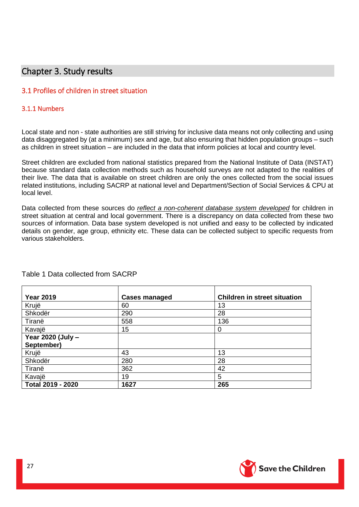# <span id="page-26-1"></span><span id="page-26-0"></span>3.1 Profiles of children in street situation

# <span id="page-26-2"></span>3.1.1 Numbers

Local state and non - state authorities are still striving for inclusive data means not only collecting and using data disaggregated by (at a minimum) sex and age, but also ensuring that hidden population groups – such as children in street situation – are included in the data that inform policies at local and country level.

Street children are excluded from national statistics prepared from the National Institute of Data (INSTAT) because standard data collection methods such as household surveys are not adapted to the realities of their live. The data that is available on street children are only the ones collected from the social issues related institutions, including SACRP at national level and Department/Section of Social Services & CPU at local level.

Data collected from these sources do *reflect a non-coherent database system developed* for children in street situation at central and local government. There is a discrepancy on data collected from these two sources of information. Data base system developed is not unified and easy to be collected by indicated details on gender, age group, ethnicity etc. These data can be collected subject to specific requests from various stakeholders.

<span id="page-26-4"></span>

| <b>Year 2019</b>  | <b>Cases managed</b> | <b>Children in street situation</b> |
|-------------------|----------------------|-------------------------------------|
| Krujë             | 60                   | 13                                  |
| Shkodër           | 290                  | 28                                  |
| Tiranë            | 558                  | 136                                 |
| Kavajë            | 15                   | 0                                   |
| Year 2020 (July - |                      |                                     |
| September)        |                      |                                     |
| Krujë             | 43                   | 13                                  |
| Shkodër           | 280                  | 28                                  |
| Tiranë            | 362                  | 42                                  |
| Kavajë            | 19                   | 5                                   |
| Total 2019 - 2020 | 1627                 | 265                                 |

# <span id="page-26-3"></span>Table 1 Data collected from SACRP

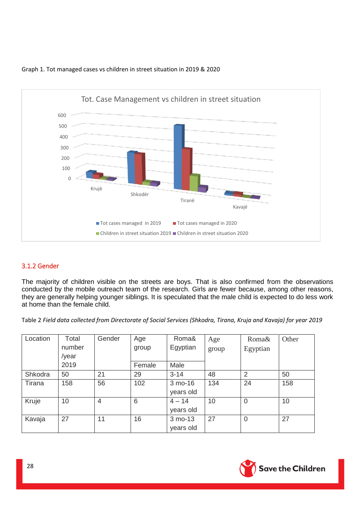

# Graph 1. Tot managed cases vs children in street situation in 2019 & 2020

# 3.1.2 Gender

The majority of children visible on the streets are boys. That is also confirmed from the observations conducted by the mobile outreach team of the research. Girls are fewer because, among other reasons, they are generally helping younger siblings. It is speculated that the male child is expected to do less work at home than the female child.

Table 2 *Field data collected from Directorate of Social Services (Shkodra, Tirana, Kruja and Kavaja) for year 2019*

| Location | Total  | Gender         | Age    | Roma&     | Age   | Roma&          | Other |
|----------|--------|----------------|--------|-----------|-------|----------------|-------|
|          | number |                | group  | Egyptian  | group | Egyptian       |       |
|          | /year  |                |        |           |       |                |       |
|          | 2019   |                | Female | Male      |       |                |       |
| Shkodra  | 50     | 21             | 29     | $3 - 14$  | 48    | $\overline{2}$ | 50    |
| Tirana   | 158    | 56             | 102    | 3 mo-16   | 134   | 24             | 158   |
|          |        |                |        | years old |       |                |       |
| Kruje    | 10     | $\overline{4}$ | 6      | $4 - 14$  | 10    | $\mathbf 0$    | 10    |
|          |        |                |        | years old |       |                |       |
| Kavaja   | 27     | 11             | 16     | 3 mo-13   | 27    | $\overline{0}$ | 27    |
|          |        |                |        | years old |       |                |       |

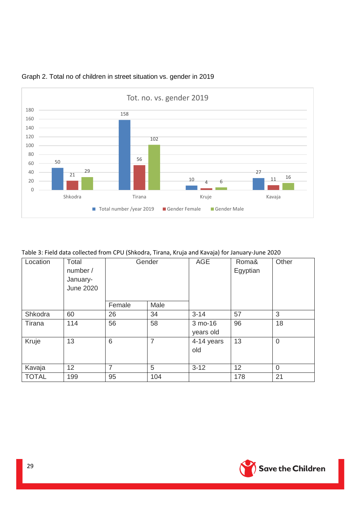

# Graph 2. Total no of children in street situation vs. gender in 2019

# Table 3: Field data collected from CPU (Shkodra, Tirana, Kruja and Kavaja) for January-June 2020

| Location     | Total<br>number /<br>January-<br><b>June 2020</b> | Gender         |                | <b>AGE</b>           | Roma&<br>Egyptian | Other          |
|--------------|---------------------------------------------------|----------------|----------------|----------------------|-------------------|----------------|
|              |                                                   | Female         | Male           |                      |                   |                |
| Shkodra      | 60                                                | 26             | 34             | $3 - 14$             | 57                | 3              |
| Tirana       | 114                                               | 56             | 58             | 3 mo-16<br>years old | 96                | 18             |
| Kruje        | 13                                                | 6              | $\overline{7}$ | 4-14 years<br>old    | 13                | $\overline{0}$ |
| Kavaja       | 12                                                | $\overline{7}$ | 5              | $3 - 12$             | 12                | $\Omega$       |
| <b>TOTAL</b> | 199                                               | 95             | 104            |                      | 178               | 21             |

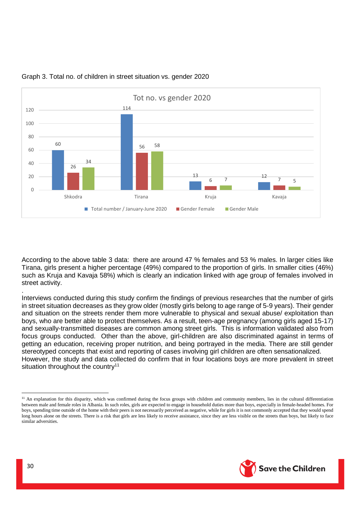

#### Graph 3. Total no. of children in street situation vs. gender 2020

According to the above table 3 data: there are around 47 % females and 53 % males. In larger cities like Tirana, girls present a higher percentage (49%) compared to the proportion of girls. In smaller cities (46%) such as Kruja and Kavaja 58%) which is clearly an indication linked with age group of females involved in street activity. .

Interviews conducted during this study confirm the findings of previous researches that the number of girls in street situation decreases as they grow older (mostly girls belong to age range of 5-9 years). Their gender and situation on the streets render them more vulnerable to physical and sexual abuse/ exploitation than boys, who are better able to protect themselves. As a result, teen-age pregnancy (among girls aged 15-17) and sexually-transmitted diseases are common among street girls. This is information validated also from focus groups conducted. Other than the above, girl-children are also discriminated against in terms of getting an education, receiving proper nutrition, and being portrayed in the media. There are still gender stereotyped concepts that exist and reporting of cases involving girl children are often sensationalized. However, the study and data collected do confirm that in four locations boys are more prevalent in street situation throughout the country<sup>11</sup>



**.** 

<sup>&</sup>lt;sup>11</sup> An explanation for this disparity, which was confirmed during the focus groups with children and community members, lies in the cultural differentiation between male and female roles in Albania. In such roles, girls are expected to engage in household duties more than boys, especially in female-headed homes. For boys, spending time outside of the home with their peers is not necessarily perceived as negative, while for girls it is not commonly accepted that they would spend long hours alone on the streets. There is a risk that girls are less likely to receive assistance, since they are less visible on the streets than boys, but likely to face similar adversities.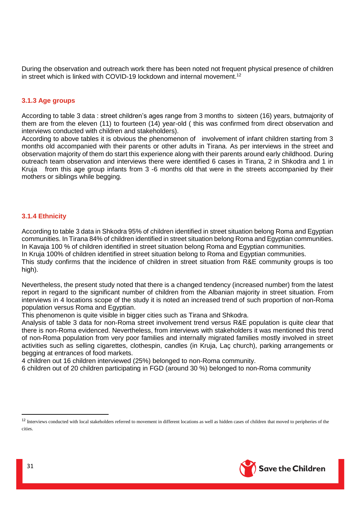During the observation and outreach work there has been noted not frequent physical presence of children in street which is linked with COVID-19 lockdown and internal movement.<sup>12</sup>

# <span id="page-30-0"></span>**3.1.3 Age groups**

According to table 3 data : street children's ages range from 3 months to sixteen (16) years, butmajority of them are from the eleven (11) to fourteen (14) year-old ( this was confirmed from direct observation and interviews conducted with children and stakeholders).

According to above tables it is obvious the phenomenon of involvement of infant children starting from 3 months old accompanied with their parents or other adults in Tirana. As per interviews in the street and observation majority of them do start this experience along with their parents around early childhood. During outreach team observation and interviews there were identified 6 cases in Tirana, 2 in Shkodra and 1 in Kruja from this age group infants from 3 -6 months old that were in the streets accompanied by their mothers or siblings while begging.

# <span id="page-30-1"></span>**3.1.4 Ethnicity**

According to table 3 data in Shkodra 95% of children identified in street situation belong Roma and Egyptian communities. In Tirana 84% of children identified in street situation belong Roma and Egyptian communities. In Kavaja 100 % of children identified in street situation belong Roma and Egyptian communities. In Kruja 100% of children identified in street situation belong to Roma and Egyptian communities. This study confirms that the incidence of children in street situation from R&E community groups is too high).

Nevertheless, the present study noted that there is a changed tendency (increased number) from the latest report in regard to the significant number of children from the Albanian majority in street situation. From interviews in 4 locations scope of the study it is noted an increased trend of such proportion of non-Roma population versus Roma and Egyptian.

This phenomenon is quite visible in bigger cities such as Tirana and Shkodra.

Analysis of table 3 data for non-Roma street involvement trend versus R&E population is quite clear that there is non-Roma evidenced. Nevertheless, from interviews with stakeholders it was mentioned this trend of non-Roma population from very poor families and internally migrated families mostly involved in street activities such as selling cigarettes, clothespin, candles (in Kruja, Laç church), parking arrangements or begging at entrances of food markets.

4 children out 16 children interviewed (25%) belonged to non-Roma community.

6 children out of 20 children participating in FGD (around 30 %) belonged to non-Roma community



**.** 

<sup>&</sup>lt;sup>12</sup> Interviews conducted with local stakeholders referred to movement in different locations as well as hidden cases of children that moved to peripheries of the cities.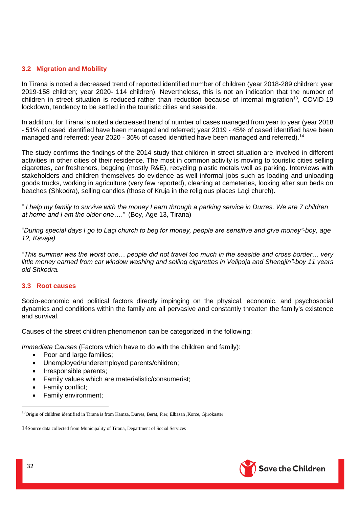# <span id="page-31-0"></span>**3.2 Migration and Mobility**

In Tirana is noted a decreased trend of reported identified number of children (year 2018-289 children; year 2019-158 children; year 2020- 114 children). Nevertheless, this is not an indication that the number of children in street situation is reduced rather than reduction because of internal migration<sup>13</sup>, COVID-19 lockdown, tendency to be settled in the touristic cities and seaside.

In addition, for Tirana is noted a decreased trend of number of cases managed from year to year (year 2018 - 51% of cased identified have been managed and referred; year 2019 - 45% of cased identified have been managed and referred; year 2020 - 36% of cased identified have been managed and referred).<sup>14</sup>

The study confirms the findings of the 2014 study that children in street situation are involved in different activities in other cities of their residence. The most in common activity is moving to touristic cities selling cigarettes, car fresheners, begging (mostly R&E), recycling plastic metals well as parking. Interviews with stakeholders and children themselves do evidence as well informal jobs such as loading and unloading goods trucks, working in agriculture (very few reported), cleaning at cemeteries, looking after sun beds on beaches (Shkodra), selling candles (those of Kruja in the religious places Laçi church).

" *I help my family to survive with the money I earn through a parking service in Durres. We are 7 children at home and I am the older one…."* (Boy, Age 13, Tirana)

"*During special days I go to Laçi church to beg for money, people are sensitive and give money"-boy, age 12, Kavaja)* 

*"This summer was the worst one… people did not travel too much in the seaside and cross border… very little money earned from car window washing and selling cigarettes in Velipoja and Shengjin"-boy 11 years old Shkodra.*

#### <span id="page-31-1"></span>**3.3 Root causes**

Socio-economic and political factors directly impinging on the physical, economic, and psychosocial dynamics and conditions within the family are all pervasive and constantly threaten the family's existence and survival.

Causes of the street children phenomenon can be categorized in the following:

*Immediate Causes* (Factors which have to do with the children and family):

- Poor and large families;
- Unemployed/underemployed parents/children;
- Irresponsible parents;
- Family values which are materialistic/consumerist;
- Family conflict;
- Family environment;



1

<sup>13</sup>Origin of children identified in Tirana is from Kamza, Durrës, Berat, Fier, Elbasan ,Korcë, Gjirokastër

<sup>14</sup>Source data collected from Municipality of Tirana, Department of Social Services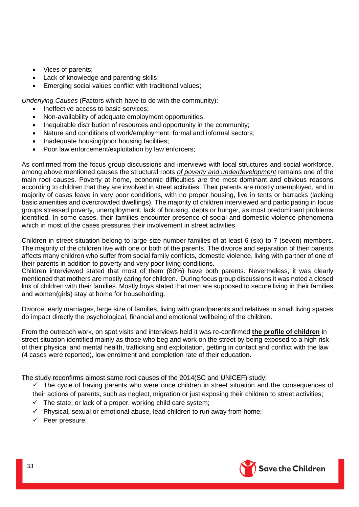- Vices of parents;
- Lack of knowledge and parenting skills;
- Emerging social values conflict with traditional values;

*Underlying Causes* (Factors which have to do with the community):

- Ineffective access to basic services;
- Non-availability of adequate employment opportunities;
- Inequitable distribution of resources and opportunity in the community;
- Nature and conditions of work/employment: formal and informal sectors;
- Inadequate housing/poor housing facilities;
- Poor law enforcement/exploitation by law enforcers;

As confirmed from the focus group discussions and interviews with local structures and social workforce, among above mentioned causes the structural roots *of poverty and underdevelopment* remains one of the main root causes. Poverty at home, economic difficulties are the most dominant and obvious reasons according to children that they are involved in street activities. Their parents are mostly unemployed, and in majority of cases leave in very poor conditions, with no proper housing, live in tents or barracks (lacking basic amenities and overcrowded dwellings). The majority of children interviewed and participating in focus groups stressed poverty, unemployment, lack of housing, debts or hunger, as most predominant problems identified. In some cases, their families encounter presence of social and domestic violence phenomena which in most of the cases pressures their involvement in street activities.

Children in street situation belong to large size number families of at least 6 (six) to 7 (seven) members. The majority of the children live with one or both of the parents. The divorce and separation of their parents affects many children who suffer from social family conflicts, domestic violence, living with partner of one of their parents in addition to poverty and very poor living conditions.

Children interviewed stated that most of them (80%) have both parents. Nevertheless, it was clearly mentioned that mothers are mostly caring for children. During focus group discussions it was noted a closed link of children with their families. Mostly boys stated that men are supposed to secure living in their families and women(girls) stay at home for householding.

Divorce, early marriages, large size of families, living with grandparents and relatives in small living spaces do impact directly the psychological, financial and emotional wellbeing of the children.

From the outreach work, on spot visits and interviews held it was re-confirmed **the profile of children** in street situation identified mainly as those who beg and work on the street by being exposed to a high risk of their physical and mental health, trafficking and exploitation, getting in contact and conflict with the law (4 cases were reported), low enrolment and completion rate of their education.

The study reconfirms almost same root causes of the 2014(SC and UNICEF) study:

- $\checkmark$  The cycle of having parents who were once children in street situation and the consequences of their actions of parents, such as neglect, migration or just exposing their children to street activities;
- $\checkmark$  The state, or lack of a proper, working child care system;
- $\checkmark$  Physical, sexual or emotional abuse, lead children to run away from home;
- ✓ Peer pressure;

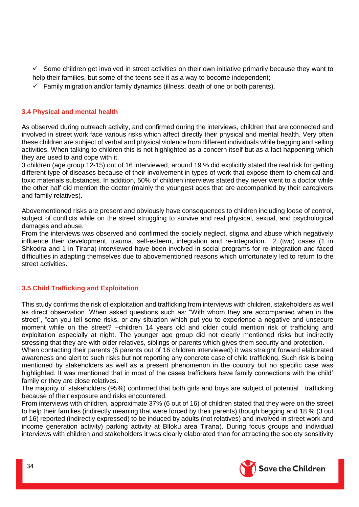- $\checkmark$  Some children get involved in street activities on their own initiative primarily because they want to help their families, but some of the teens see it as a way to become independent;
- $\checkmark$  Family migration and/or family dynamics (illness, death of one or both parents).

# <span id="page-33-0"></span>**3.4 Physical and mental health**

As observed during outreach activity, and confirmed during the interviews, children that are connected and involved in street work face various risks which affect directly their physical and mental health. Very often these children are subject of verbal and physical violence from different individuals while begging and selling activities. When talking to children this is not highlighted as a concern itself but as a fact happening which they are used to and cope with it.

3 children (age group 12-15) out of 16 interviewed, around 19 % did explicitly stated the real risk for getting different type of diseases because of their involvement in types of work that expose them to chemical and toxic materials substances. In addition, 50% of children interviews stated they never went to a doctor while the other half did mention the doctor (mainly the youngest ages that are accompanied by their caregivers and family relatives).

Abovementioned risks are present and obviously have consequences to children including loose of control, subject of conflicts while on the street struggling to survive and real physical, sexual, and psychological damages and abuse.

From the interviews was observed and confirmed the society neglect, stigma and abuse which negatively influence their development, trauma, self-esteem, integration and re-integration. 2 (two) cases (1 in Shkodra and 1 in Tirana) interviewed have been involved in social programs for re-integration and faced difficulties in adapting themselves due to abovementioned reasons which unfortunately led to return to the street activities.

# <span id="page-33-1"></span>**3.5 Child Trafficking and Exploitation**

This study confirms the risk of exploitation and trafficking from interviews with children, stakeholders as well as direct observation. When asked questions such as: "With whom they are accompanied when in the street", "can you tell some risks, or any situation which put you to experience a negative and unsecure moment while on the street? –children 14 years old and older could mention risk of trafficking and exploitation especially at night. The younger age group did not clearly mentioned risks but indirectly stressing that they are with older relatives, siblings or parents which gives them security and protection.

When contacting their parents (6 parents out of 16 children interviewed) it was straight forward elaborated awareness and alert to such risks but not reporting any concrete case of child trafficking. Such risk is being mentioned by stakeholders as well as a present phenomenon in the country but no specific case was highlighted. It was mentioned that in most of the cases traffickers have family connections with the child' family or they are close relatives.

The majority of stakeholders (95%) confirmed that both girls and boys are subject of potential trafficking because of their exposure and risks encountered.

From interviews with children, approximate 37% (6 out of 16) of children stated that they were on the street to help their families (indirectly meaning that were forced by their parents) though begging and 18 % (3 out of 16) reported (indirectly expressed) to be induced by adults (not relatives) and involved in street work and income generation activity) parking activity at Blloku area Tirana). During focus groups and individual interviews with children and stakeholders it was clearly elaborated than for attracting the society sensitivity

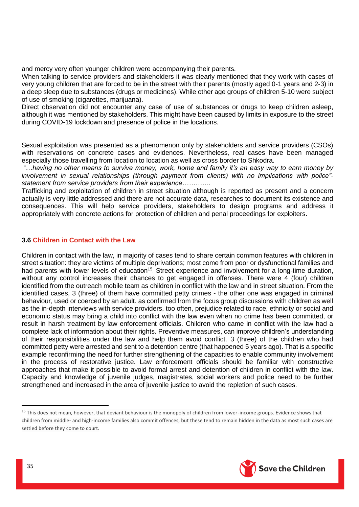and mercy very often younger children were accompanying their parents.

When talking to service providers and stakeholders it was clearly mentioned that they work with cases of very young children that are forced to be in the street with their parents (mostly aged 0-1 years and 2-3) in a deep sleep due to substances (drugs or medicines). While other age groups of children 5-10 were subject of use of smoking (cigarettes, marijuana).

Direct observation did not encounter any case of use of substances or drugs to keep children asleep, although it was mentioned by stakeholders. This might have been caused by limits in exposure to the street during COVID-19 lockdown and presence of police in the locations.

Sexual exploitation was presented as a phenomenon only by stakeholders and service providers (CSOs) with reservations on concrete cases and evidences. Nevertheless, real cases have been managed especially those travelling from location to location as well as cross border to Shkodra.

"…*having no other means to survive money, work, home and family it's an easy way to earn money by involvement in sexual relationships (through payment from clients) with no implications with police" statement from service providers from their experience………….*

Trafficking and exploitation of children in street situation although is reported as present and a concern actually is very little addressed and there are not accurate data, researches to document its existence and consequences. This will help service providers, stakeholders to design programs and address it appropriately with concrete actions for protection of children and penal proceedings for exploiters.

#### <span id="page-34-0"></span>**3.6 Children in Contact with the Law**

Children in contact with the law, in majority of cases tend to share certain common features with children in street situation: they are victims of multiple deprivations; most come from poor or dysfunctional families and had parents with lower levels of education<sup>15</sup>. Street experience and involvement for a long-time duration, without any control increases their chances to get engaged in offenses. There were 4 (four) children identified from the outreach mobile team as children in conflict with the law and in street situation. From the identified cases, 3 (three) of them have committed petty crimes - the other one was engaged in criminal behaviour, used or coerced by an adult. as confirmed from the focus group discussions with children as well as the in-depth interviews with service providers, too often, prejudice related to race, ethnicity or social and economic status may bring a child into conflict with the law even when no crime has been committed, or result in harsh treatment by law enforcement officials. Children who came in conflict with the law had a complete lack of information about their rights. Preventive measures, can improve children's understanding of their responsibilities under the law and help them avoid conflict. 3 (three) of the children who had committed petty were arrested and sent to a detention centre (that happened 5 years ago). That is a specific example reconfirming the need for further strengthening of the capacities to enable community involvement in the process of restorative justice. Law enforcement officials should be familiar with constructive approaches that make it possible to avoid formal arrest and detention of children in conflict with the law. Capacity and knowledge of juvenile judges, magistrates, social workers and police need to be further strengthened and increased in the area of juvenile justice to avoid the repletion of such cases.



**.** 

<sup>&</sup>lt;sup>15</sup> This does not mean, however, that deviant behaviour is the monopoly of children from lower-income groups. Evidence shows that children from middle- and high-income families also commit offences, but these tend to remain hidden in the data as most such cases are settled before they come to court.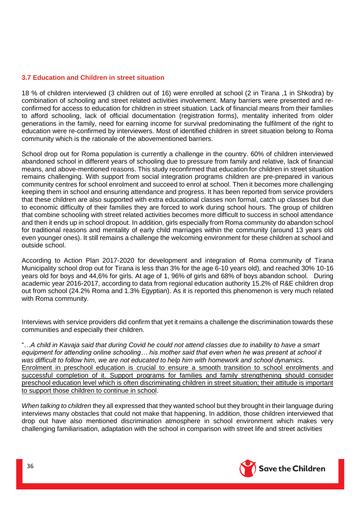#### <span id="page-35-0"></span>**3.7 Education and Children in street situation**

18 % of children interviewed (3 children out of 16) were enrolled at school (2 in Tirana ,1 in Shkodra) by combination of schooling and street related activities involvement. Many barriers were presented and reconfirmed for access to education for children in street situation. Lack of financial means from their families to afford schooling, lack of official documentation (registration forms), mentality inherited from older generations in the family, need for earning income for survival predominating the fulfilment of the right to education were re-confirmed by interviewers. Most of identified children in street situation belong to Roma community which is the rationale of the abovementioned barriers.

School drop out for Roma population is currently a challenge in the country. 60% of children interviewed abandoned school in different years of schooling due to pressure from family and relative, lack of financial means, and above-mentioned reasons. This study reconfirmed that education for children in street situation remains challenging. With support from social integration programs children are pre-prepared in various community centres for school enrolment and succeed to enrol at school. Then it becomes more challenging keeping them in school and ensuring attendance and progress. It has been reported from service providers that these children are also supported with extra educational classes non formal, catch up classes but due to economic difficulty of their families they are forced to work during school hours. The group of children that combine schooling with street related activities becomes more difficult to success in school attendance and then it ends up in school dropout. In addition, girls especially from Roma community do abandon school for traditional reasons and mentality of early child marriages within the community (around 13 years old even younger ones). It still remains a challenge the welcoming environment for these children at school and outside school.

According to Action Plan 2017-2020 for development and integration of Roma community of Tirana Municipality school drop out for Tirana is less than 3% for the age 6-10 years old), and reached 30% 10-16 years old for boys and 44,6% for girls. At age of 1, 96% of girls and 68% of boys abandon school. During academic year 2016-2017, according to data from regional education authority 15.2% of R&E children drop out from school (24.2% Roma and 1.3% Egyptian). As it is reported this phenomenon is very much related with Roma community.

Interviews with service providers did confirm that yet it remains a challenge the discrimination towards these communities and especially their children.

"…*A child in Kavaja said that during Covid he could not attend classes due to inability to have a smart equipment for attending online schooling… his mother said that even when he was present at school it was difficult to follow him, we are not educated to help him with homework and school dynamics.* Enrolment in preschool education is crucial to ensure a smooth transition to school enrolments and successful completion of it. Support programs for families and family strengthening should consider preschool education level which is often discriminating children in street situation; their attitude is important to support those children to continue in school.

*When talking to children* they all expressed that they wanted school but they brought in their language during interviews many obstacles that could not make that happening. In addition, those children interviewed that drop out have also mentioned discrimination atmosphere in school environment which makes very challenging familiarisation, adaptation with the school in comparison with street life and street activities

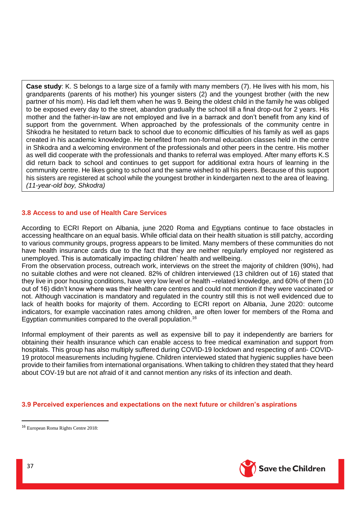**Case study**: K. S belongs to a large size of a family with many members (7). He lives with his mom, his grandparents (parents of his mother) his younger sisters (2) and the youngest brother (with the new partner of his mom). His dad left them when he was 9. Being the oldest child in the family he was obliged to be exposed every day to the street, abandon gradually the school till a final drop-out for 2 years. His mother and the father-in-law are not employed and live in a barrack and don't benefit from any kind of support from the government. When approached by the professionals of the community centre in Shkodra he hesitated to return back to school due to economic difficulties of his family as well as gaps created in his academic knowledge. He benefited from non-formal education classes held in the centre in Shkodra and a welcoming environment of the professionals and other peers in the centre. His mother as well did cooperate with the professionals and thanks to referral was employed. After many efforts K.S did return back to school and continues to get support for additional extra hours of learning in the community centre. He likes going to school and the same wished to all his peers. Because of this support his sisters are registered at school while the youngest brother in kindergarten next to the area of leaving. *(11-year-old boy, Shkodra)*

# <span id="page-36-0"></span>**3.8 Access to and use of Health Care Services**

According to ECRI Report on Albania, june 2020 Roma and Egyptians continue to face obstacles in accessing healthcare on an equal basis. While official data on their health situation is still patchy, according to various community groups, progress appears to be limited. Many members of these communities do not have health insurance cards due to the fact that they are neither regularly employed nor registered as unemployed. This is automatically impacting children' health and wellbeing.

From the observation process, outreach work, interviews on the street the majority of children (90%), had no suitable clothes and were not cleaned. 82% of children interviewed (13 children out of 16) stated that they live in poor housing conditions, have very low level or health –related knowledge, and 60% of them (10 out of 16) didn't know where was their health care centres and could not mention if they were vaccinated or not. Although vaccination is mandatory and regulated in the country still this is not well evidenced due to lack of health books for majority of them. According to ECRI report on Albania, June 2020: outcome indicators, for example vaccination rates among children, are often lower for members of the Roma and Egyptian communities compared to the overall population.<sup>16</sup>

Informal employment of their parents as well as expensive bill to pay it independently are barriers for obtaining their health insurance which can enable access to free medical examination and support from hospitals. This group has also multiply suffered during COVID-19 lockdown and respecting of anti- COVID-19 protocol measurements including hygiene. Children interviewed stated that hygienic supplies have been provide to their families from international organisations. When talking to children they stated that they heard about COV-19 but are not afraid of it and cannot mention any risks of its infection and death.

#### <span id="page-36-1"></span>**3.9 Perceived experiences and expectations on the next future or children's aspirations**



1

<sup>16</sup> European Roma Rights Centre 2018: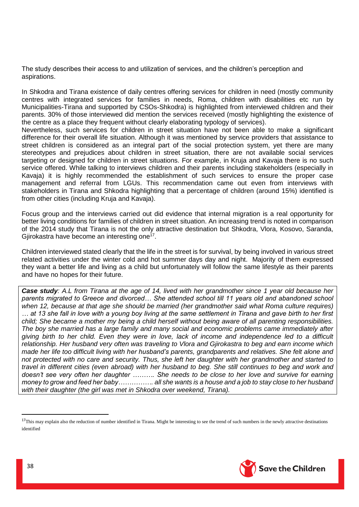The study describes their access to and utilization of services, and the children's perception and aspirations.

In Shkodra and Tirana existence of daily centres offering services for children in need (mostly community centres with integrated services for families in needs, Roma, children with disabilities etc run by Municipalities-Tirana and supported by CSOs-Shkodra) is highlighted from interviewed children and their parents. 30% of those interviewed did mention the services received (mostly highlighting the existence of the centre as a place they frequent without clearly elaborating typology of services).

Nevertheless, such services for children in street situation have not been able to make a significant difference for their overall life situation. Although it was mentioned by service providers that assistance to street children is considered as an integral part of the social protection system, yet there are many stereotypes and prejudices about children in street situation, there are not available social services targeting or designed for children in street situations. For example, in Kruja and Kavaja there is no such service offered. While talking to interviews children and their parents including stakeholders (especially in Kavaja) it is highly recommended the establishment of such services to ensure the proper case management and referral from LGUs. This recommendation came out even from interviews with stakeholders in Tirana and Shkodra highlighting that a percentage of children (around 15%) identified is from other cities (including Kruja and Kavaja).

Focus group and the interviews carried out did evidence that internal migration is a real opportunity for better living conditions for families of children in street situation. An increasing trend is noted in comparison of the 2014 study that Tirana is not the only attractive destination but Shkodra, Vlora, Kosovo, Saranda, Gjirokastra have become an interesting one<sup>17</sup>.

Children interviewed stated clearly that the life in the street is for survival, by being involved in various street related activities under the winter cold and hot summer days day and night. Majority of them expressed they want a better life and living as a child but unfortunately will follow the same lifestyle as their parents and have no hopes for their future.

*Case study: A.L from Tirana at the age of 14, lived with her grandmother since 1 year old because her parents migrated to Greece and divorced… She attended school till 11 years old and abandoned school when 12, because at that age she should be married (her grandmother said what Roma culture requires) … at 13 she fall in love with a young boy living at the same settlement in Tirana and gave birth to her first child; She became a mother my being a child herself without being aware of all parenting responsibilities. The boy she married has a large family and many social and economic problems came immediately after giving birth to her child. Even they were in love, lack of income and independence led to a difficult relationship. Her husband very often was traveling to Vlora and Gjirokastra to beg and earn income which made her life too difficult living with her husband's parents, grandparents and relatives. She felt alone and not protected with no care and security. Thus, she left her daughter with her grandmother and started to travel in different cities (even abroad) with her husband to beg. She still continues to beg and work and doesn't see very often her daughter ………. She needs to be close to her love and survive for earning money to grow and feed her baby……………. all she wants is a house and a job to stay close to her husband with their daughter (the girl was met in Shkodra over weekend, Tirana).*



**.** 

<sup>&</sup>lt;sup>17</sup>This may explain also the reduction of number identified in Tirana. Might be interesting to see the trend of such numbers in the newly attractive destinations identified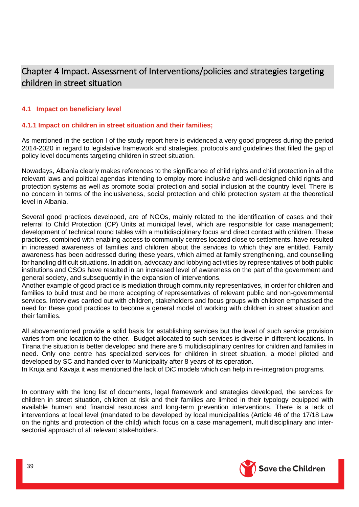# <span id="page-38-0"></span>Chapter 4 Impact. Assessment of Interventions/policies and strategies targeting children in street situation

# <span id="page-38-1"></span>**4.1 Impact on beneficiary level**

# <span id="page-38-2"></span>**4.1.1 Impact on children in street situation and their families;**

As mentioned in the section I of the study report here is evidenced a very good progress during the period 2014-2020 in regard to legislative framework and strategies, protocols and guidelines that filled the gap of policy level documents targeting children in street situation.

Nowadays, Albania clearly makes references to the significance of child rights and child protection in all the relevant laws and political agendas intending to employ more inclusive and well-designed child rights and protection systems as well as promote social protection and social inclusion at the country level. There is no concern in terms of the inclusiveness, social protection and child protection system at the theoretical level in Albania.

Several good practices developed, are of NGOs, mainly related to the identification of cases and their referral to Child Protection (CP) Units at municipal level, which are responsible for case management; development of technical round tables with a multidisciplinary focus and direct contact with children. These practices, combined with enabling access to community centres located close to settlements, have resulted in increased awareness of families and children about the services to which they are entitled. Family awareness has been addressed during these years, which aimed at family strengthening, and counselling for handling difficult situations. In addition, advocacy and lobbying activities by representatives of both public institutions and CSOs have resulted in an increased level of awareness on the part of the government and general society, and subsequently in the expansion of interventions.

Another example of good practice is mediation through community representatives, in order for children and families to build trust and be more accepting of representatives of relevant public and non-governmental services. Interviews carried out with children, stakeholders and focus groups with children emphasised the need for these good practices to become a general model of working with children in street situation and their families.

All abovementioned provide a solid basis for establishing services but the level of such service provision varies from one location to the other. Budget allocated to such services is diverse in different locations. In Tirana the situation is better developed and there are 5 multidisciplinary centres for children and families in need. Only one centre has specialized services for children in street situation, a model piloted and developed by SC and handed over to Municipality after 8 years of its operation.

In Kruja and Kavaja it was mentioned the lack of DiC models which can help in re-integration programs.

In contrary with the long list of documents, legal framework and strategies developed, the services for children in street situation, children at risk and their families are limited in their typology equipped with available human and financial resources and long-term prevention interventions. There is a lack of interventions at local level (mandated to be developed by local municipalities (Article 46 of the 17/18 Law on the rights and protection of the child) which focus on a case management, multidisciplinary and intersectorial approach of all relevant stakeholders.

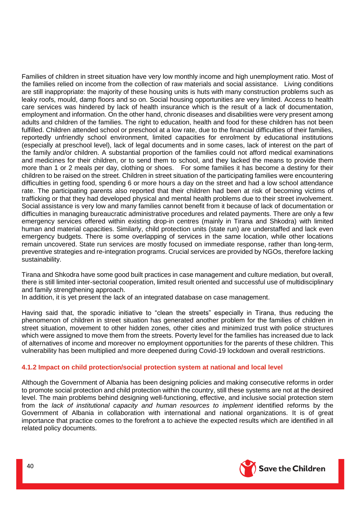Families of children in street situation have very low monthly income and high unemployment ratio. Most of the families relied on income from the collection of raw materials and social assistance. Living conditions are still inappropriate: the majority of these housing units is huts with many construction problems such as leaky roofs, mould, damp floors and so on. Social housing opportunities are very limited. Access to health care services was hindered by lack of health insurance which is the result of a lack of documentation, employment and information. On the other hand, chronic diseases and disabilities were very present among adults and children of the families. The right to education, health and food for these children has not been fulfilled. Children attended school or preschool at a low rate, due to the financial difficulties of their families, reportedly unfriendly school environment, limited capacities for enrolment by educational institutions (especially at preschool level), lack of legal documents and in some cases, lack of interest on the part of the family and/or children. A substantial proportion of the families could not afford medical examinations and medicines for their children, or to send them to school, and they lacked the means to provide them more than 1 or 2 meals per day, clothing or shoes. For some families it has become a destiny for their children to be raised on the street. Children in street situation of the participating families were encountering difficulties in getting food, spending 6 or more hours a day on the street and had a low school attendance rate. The participating parents also reported that their children had been at risk of becoming victims of trafficking or that they had developed physical and mental health problems due to their street involvement. Social assistance is very low and many families cannot benefit from it because of lack of documentation or difficulties in managing bureaucratic administrative procedures and related payments. There are only a few emergency services offered within existing drop-in centres (mainly in Tirana and Shkodra) with limited human and material capacities. Similarly, child protection units (state run) are understaffed and lack even emergency budgets. There is some overlapping of services in the same location, while other locations remain uncovered. State run services are mostly focused on immediate response, rather than long-term, preventive strategies and re-integration programs. Crucial services are provided by NGOs, therefore lacking sustainability.

Tirana and Shkodra have some good built practices in case management and culture mediation, but overall, there is still limited inter-sectorial cooperation, limited result oriented and successful use of multidisciplinary and family strengthening approach.

In addition, it is yet present the lack of an integrated database on case management.

Having said that, the sporadic initiative to "clean the streets" especially in Tirana, thus reducing the phenomenon of children in street situation has generated another problem for the families of children in street situation, movement to other hidden zones, other cities and minimized trust with police structures which were assigned to move them from the streets. Poverty level for the families has increased due to lack of alternatives of income and moreover no employment opportunities for the parents of these children. This vulnerability has been multiplied and more deepened during Covid-19 lockdown and overall restrictions.

# <span id="page-39-0"></span>**4.1.2 Impact on child protection/social protection system at national and local level**

Although the Government of Albania has been designing policies and making consecutive reforms in order to promote social protection and child protection within the country, still these systems are not at the desired level. The main problems behind designing well-functioning, effective, and inclusive social protection stem from the *lack of institutional capacity and human resources to implement* identified reforms by the Government of Albania in collaboration with international and national organizations. It is of great importance that practice comes to the forefront a to achieve the expected results which are identified in all related policy documents.

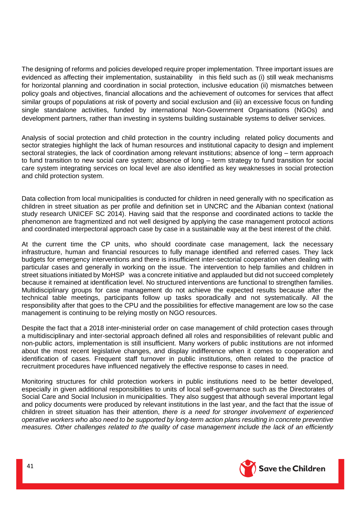The designing of reforms and policies developed require proper implementation. Three important issues are evidenced as affecting their implementation, sustainability in this field such as (i) still weak mechanisms for horizontal planning and coordination in social protection, inclusive education (ii) mismatches between policy goals and objectives, financial allocations and the achievement of outcomes for services that affect similar groups of populations at risk of poverty and social exclusion and (iii) an excessive focus on funding single standalone activities, funded by international Non-Government Organisations (NGOs) and development partners, rather than investing in systems building sustainable systems to deliver services.

Analysis of social protection and child protection in the country including related policy documents and sector strategies highlight the lack of human resources and institutional capacity to design and implement sectoral strategies, the lack of coordination among relevant institutions; absence of long – term approach to fund transition to new social care system; absence of long – term strategy to fund transition for social care system integrating services on local level are also identified as key weaknesses in social protection and child protection system.

Data collection from local municipalities is conducted for children in need generally with no specification as children in street situation as per profile and definition set in UNCRC and the Albanian context (national study research UNICEF SC 2014). Having said that the response and coordinated actions to tackle the phenomenon are fragmentized and not well designed by applying the case management protocol actions and coordinated interpectoral approach case by case in a sustainable way at the best interest of the child.

At the current time the CP units, who should coordinate case management, lack the necessary infrastructure, human and financial resources to fully manage identified and referred cases. They lack budgets for emergency interventions and there is insufficient inter-sectorial cooperation when dealing with particular cases and generally in working on the issue. The intervention to help families and children in street situations initiated by MoHSP was a concrete initiative and applauded but did not succeed completely because it remained at identification level. No structured interventions are functional to strengthen families. Multidisciplinary groups for case management do not achieve the expected results because after the technical table meetings, participants follow up tasks sporadically and not systematically. All the responsibility after that goes to the CPU and the possibilities for effective management are low so the case management is continuing to be relying mostly on NGO resources.

Despite the fact that a 2018 inter-ministerial order on case management of child protection cases through a multidisciplinary and inter-sectorial approach defined all roles and responsibilities of relevant public and non-public actors, implementation is still insufficient. Many workers of public institutions are not informed about the most recent legislative changes, and display indifference when it comes to cooperation and identification of cases. Frequent staff turnover in public institutions, often related to the practice of recruitment procedures have influenced negatively the effective response to cases in need.

Monitoring structures for child protection workers in public institutions need to be better developed, especially in given additional responsibilities to units of local self-governance such as the Directorates of Social Care and Social Inclusion in municipalities. They also suggest that although several important legal and policy documents were produced by relevant institutions in the last year, and the fact that the issue of children in street situation has their attention, *there is a need for stronger involvement of experienced operative workers who also need to be supported by long-term action plans resulting in concrete preventive measures. Other challenges related to the quality of case management include the lack of an efficiently* 

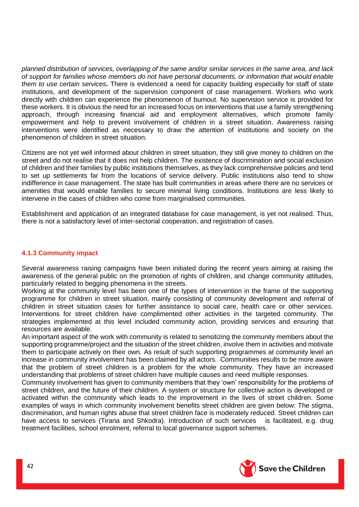*planned distribution of services, overlapping of the same and/or similar services in the same area, and lack of support for families whose members do not have personal documents, or information that would enable them to use certain services***.** There is evidenced a need for capacity building especially for staff of state institutions, and development of the supervision component of case management. Workers who work directly with children can experience the phenomenon of burnout. No supervision service is provided for these workers. It is obvious the need for an increased focus on interventions that use a family strengthening approach, through increasing financial aid and employment alternatives, which promote family empowerment and help to prevent involvement of children in a street situation. Awareness raising interventions were identified as necessary to draw the attention of institutions and society on the phenomenon of children in street situation.

Citizens are not yet well informed about children in street situation, they still give money to children on the street and do not realise that it does not help children. The existence of discrimination and social exclusion of children and their families by public institutions themselves, as they lack comprehensive policies and tend to set up settlements far from the locations of service delivery. Public institutions also tend to show indifference in case management. The state has built communities in areas where there are no services or amenities that would enable families to secure minimal living conditions. Institutions are less likely to intervene in the cases of children who come from marginalised communities.

Establishment and application of an integrated database for case management, is yet not realised. Thus, there is not a satisfactory level of inter-sectorial cooperation, and registration of cases.

#### <span id="page-41-0"></span>**4.1.3 Community impact**

Several awareness raising campaigns have been initiated during the recent years aiming at raising the awareness of the general public on the promotion of rights of children, and change community attitudes, particularly related to begging phenomena in the streets.

Working at the community level has been one of the types of intervention in the frame of the supporting programme for children in street situation, mainly consisting of community development and referral of children in street situation cases for further assistance to social care, health care or other services. Interventions for street children have complimented other activities in the targeted community. The strategies implemented at this level included community action, providing services and ensuring that resources are available.

An important aspect of the work with community is related to sensitizing the community members about the supporting programme/project and the situation of the street children, involve them in activities and motivate them to participate actively on their own. As result of such supporting programmes at community level an increase in community involvement has been claimed by all actors. Communities results to be more aware that the problem of street children is a problem for the whole community. They have an increased understanding that problems of street children have multiple causes and need multiple responses.

Community involvement has given to community members that they 'own' responsibility for the problems of street children, and the future of their children. A system or structure for collective action is developed or activated within the community which leads to the improvement in the lives of street children. Some examples of ways in which community involvement benefits street children are given below: The stigma, discrimination, and human rights abuse that street children face is moderately reduced. Street children can have access to services (Tirana and Shkodra). Introduction of such services is facilitated, e.g. drug treatment facilities, school enrolment, referral to local governance support schemes.

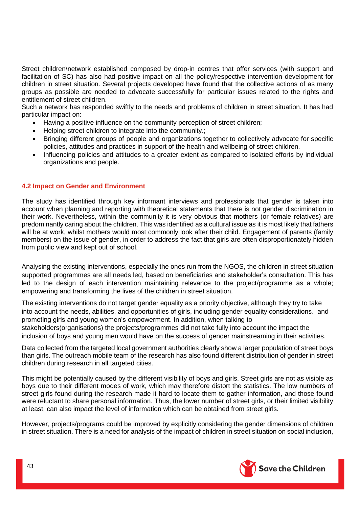Street children\network established composed by drop-in centres that offer services (with support and facilitation of SC) has also had positive impact on all the policy/respective intervention development for children in street situation. Several projects developed have found that the collective actions of as many groups as possible are needed to advocate successfully for particular issues related to the rights and entitlement of street children.

Such a network has responded swiftly to the needs and problems of children in street situation. It has had particular impact on:

- Having a positive influence on the community perception of street children;
- Helping street children to integrate into the community.;
- Bringing different groups of people and organizations together to collectively advocate for specific policies, attitudes and practices in support of the health and wellbeing of street children.
- Influencing policies and attitudes to a greater extent as compared to isolated efforts by individual organizations and people.

#### <span id="page-42-0"></span>**4.2 Impact on Gender and Environment**

The study has identified through key informant interviews and professionals that gender is taken into account when planning and reporting with theoretical statements that there is not gender discrimination in their work. Nevertheless, within the community it is very obvious that mothers (or female relatives) are predominantly caring about the children. This was identified as a cultural issue as it is most likely that fathers will be at work, whilst mothers would most commonly look after their child. Engagement of parents (family members) on the issue of gender, in order to address the fact that girls are often disproportionately hidden from public view and kept out of school.

Analysing the existing interventions, especially the ones run from the NGOS, the children in street situation supported programmes are all needs led, based on beneficiaries and stakeholder's consultation. This has led to the design of each intervention maintaining relevance to the project/programme as a whole; empowering and transforming the lives of the children in street situation.

The existing interventions do not target gender equality as a priority objective, although they try to take into account the needs, abilities, and opportunities of girls, including gender equality considerations. and promoting girls and young women's empowerment. In addition, when talking to stakeholders(organisations) the projects/programmes did not take fully into account the impact the inclusion of boys and young men would have on the success of gender mainstreaming in their activities.

Data collected from the targeted local government authorities clearly show a larger population of street boys than girls. The outreach mobile team of the research has also found different distribution of gender in street children during research in all targeted cities.

This might be potentially caused by the different visibility of boys and girls. Street girls are not as visible as boys due to their different modes of work, which may therefore distort the statistics. The low numbers of street girls found during the research made it hard to locate them to gather information, and those found were reluctant to share personal information. Thus, the lower number of street girls, or their limited visibility at least, can also impact the level of information which can be obtained from street girls.

However, projects/programs could be improved by explicitly considering the gender dimensions of children in street situation. There is a need for analysis of the impact of children in street situation on social inclusion,

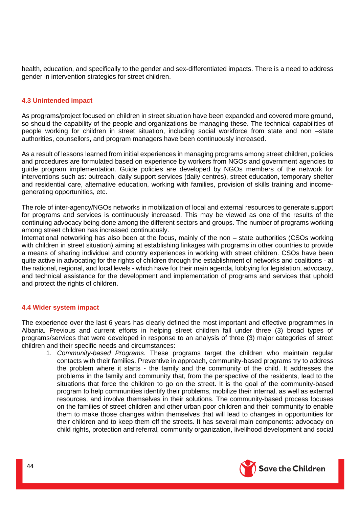health, education, and specifically to the gender and sex-differentiated impacts. There is a need to address gender in intervention strategies for street children.

# <span id="page-43-0"></span>**4.3 Unintended impact**

As programs/project focused on children in street situation have been expanded and covered more ground, so should the capability of the people and organizations be managing these. The technical capabilities of people working for children in street situation, including social workforce from state and non –state authorities, counsellors, and program managers have been continuously increased.

As a result of lessons learned from initial experiences in managing programs among street children, policies and procedures are formulated based on experience by workers from NGOs and government agencies to guide program implementation. Guide policies are developed by NGOs members of the network for interventions such as: outreach, daily support services (daily centres), street education, temporary shelter and residential care, alternative education, working with families, provision of skills training and incomegenerating opportunities, etc.

The role of inter-agency/NGOs networks in mobilization of local and external resources to generate support for programs and services is continuously increased. This may be viewed as one of the results of the continuing advocacy being done among the different sectors and groups. The number of programs working among street children has increased continuously.

International networking has also been at the focus, mainly of the non – state authorities (CSOs working with children in street situation) aiming at establishing linkages with programs in other countries to provide a means of sharing individual and country experiences in working with street children. CSOs have been quite active in advocating for the rights of children through the establishment of networks and coalitions - at the national, regional, and local levels - which have for their main agenda, lobbying for legislation, advocacy, and technical assistance for the development and implementation of programs and services that uphold and protect the rights of children.

#### <span id="page-43-1"></span>**4.4 Wider system impact**

The experience over the last 6 years has clearly defined the most important and effective programmes in Albania. Previous and current efforts in helping street children fall under three (3) broad types of programs/services that were developed in response to an analysis of three (3) major categories of street children and their specific needs and circumstances:

1. *Community-based Programs.* These programs target the children who maintain regular contacts with their families. Preventive in approach, community-based programs try to address the problem where it starts - the family and the community of the child. It addresses the problems in the family and community that, from the perspective of the residents, lead to the situations that force the children to go on the street. It is the goal of the community-based program to help communities identify their problems, mobilize their internal, as well as external resources, and involve themselves in their solutions. The community-based process focuses on the families of street children and other urban poor children and their community to enable them to make those changes within themselves that will lead to changes in opportunities for their children and to keep them off the streets. It has several main components: advocacy on child rights, protection and referral, community organization, livelihood development and social

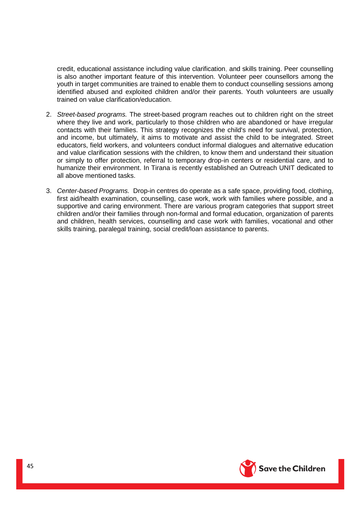credit, educational assistance including value clarification, and skills training. Peer counselling is also another important feature of this intervention. Volunteer peer counsellors among the youth in target communities are trained to enable them to conduct counselling sessions among identified abused and exploited children and/or their parents. Youth volunteers are usually trained on value clarification/education.

- 2. *Street-based programs.* The street-based program reaches out to children right on the street where they live and work, particularly to those children who are abandoned or have irregular contacts with their families. This strategy recognizes the child's need for survival, protection, and income, but ultimately, it aims to motivate and assist the child to be integrated. Street educators, field workers, and volunteers conduct informal dialogues and alternative education and value clarification sessions with the children, to know them and understand their situation or simply to offer protection, referral to temporary drop-in centers or residential care, and to humanize their environment. In Tirana is recently established an Outreach UNIT dedicated to all above mentioned tasks.
- 3. *Center-based Programs.* Drop-in centres do operate as a safe space, providing food, clothing, first aid/health examination, counselling, case work, work with families where possible, and a supportive and caring environment. There are various program categories that support street children and/or their families through non-formal and formal education, organization of parents and children, health services, counselling and case work with families, vocational and other skills training, paralegal training, social credit/loan assistance to parents.

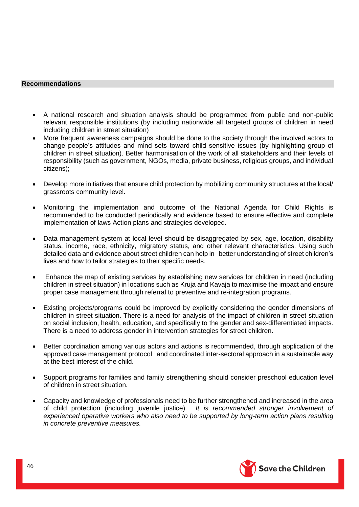#### <span id="page-45-0"></span>**Recommendations**

- A national research and situation analysis should be programmed from public and non-public relevant responsible institutions (by including nationwide all targeted groups of children in need including children in street situation)
- More frequent awareness campaigns should be done to the society through the involved actors to change people's attitudes and mind sets toward child sensitive issues (by highlighting group of children in street situation). Better harmonisation of the work of all stakeholders and their levels of responsibility (such as government, NGOs, media, private business, religious groups, and individual citizens);
- Develop more initiatives that ensure child protection by mobilizing community structures at the local/ grassroots community level.
- Monitoring the implementation and outcome of the National Agenda for Child Rights is recommended to be conducted periodically and evidence based to ensure effective and complete implementation of laws Action plans and strategies developed.
- Data management system at local level should be disaggregated by sex, age, location, disability status, income, race, ethnicity, migratory status, and other relevant characteristics. Using such detailed data and evidence about street children can help in better understanding of street children's lives and how to tailor strategies to their specific needs.
- Enhance the map of existing services by establishing new services for children in need (including children in street situation) in locations such as Kruja and Kavaja to maximise the impact and ensure proper case management through referral to preventive and re-integration programs.
- Existing projects/programs could be improved by explicitly considering the gender dimensions of children in street situation. There is a need for analysis of the impact of children in street situation on social inclusion, health, education, and specifically to the gender and sex-differentiated impacts. There is a need to address gender in intervention strategies for street children.
- Better coordination among various actors and actions is recommended, through application of the approved case management protocol and coordinated inter-sectoral approach in a sustainable way at the best interest of the child.
- Support programs for families and family strengthening should consider preschool education level of children in street situation.
- Capacity and knowledge of professionals need to be further strengthened and increased in the area of child protection (including juvenile justice). *It is recommended stronger involvement of experienced operative workers who also need to be supported by long-term action plans resulting in concrete preventive measures.*

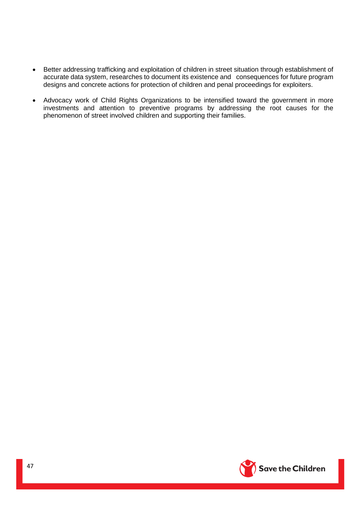- Better addressing trafficking and exploitation of children in street situation through establishment of accurate data system, researches to document its existence and consequences for future program designs and concrete actions for protection of children and penal proceedings for exploiters.
- Advocacy work of Child Rights Organizations to be intensified toward the government in more investments and attention to preventive programs by addressing the root causes for the phenomenon of street involved children and supporting their families.